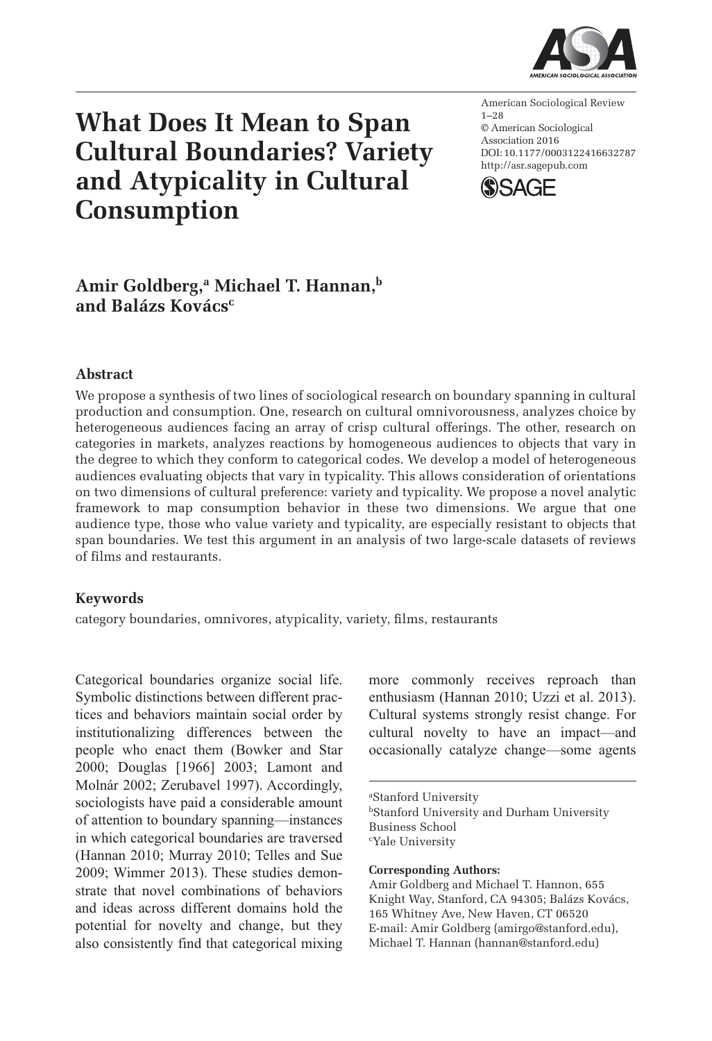

# **What Does It Mean to Span Cultural Boundaries? Variety and Atypicality in Cultural Consumption**

American Sociological Review  $1 - 28$ © American Sociological Association 2016 DOI: 10.1177/0003122416632787 http://asr.sagepub.com



# **Amir Goldberg,<sup>a</sup> Michael T. Hannan,<sup>b</sup> and Balázs Kovács<sup>c</sup>**

### **Abstract**

We propose a synthesis of two lines of sociological research on boundary spanning in cultural production and consumption. One, research on cultural omnivorousness, analyzes choice by heterogeneous audiences facing an array of crisp cultural offerings. The other, research on categories in markets, analyzes reactions by homogeneous audiences to objects that vary in the degree to which they conform to categorical codes. We develop a model of heterogeneous audiences evaluating objects that vary in typicality. This allows consideration of orientations on two dimensions of cultural preference: variety and typicality. We propose a novel analytic framework to map consumption behavior in these two dimensions. We argue that one audience type, those who value variety and typicality, are especially resistant to objects that span boundaries. We test this argument in an analysis of two large-scale datasets of reviews of films and restaurants.

#### **Keywords**

category boundaries, omnivores, atypicality, variety, films, restaurants

Categorical boundaries organize social life. Symbolic distinctions between different practices and behaviors maintain social order by institutionalizing differences between the people who enact them (Bowker and Star 2000; Douglas [1966] 2003; Lamont and Molnár 2002; Zerubavel 1997). Accordingly, sociologists have paid a considerable amount of attention to boundary spanning—instances in which categorical boundaries are traversed (Hannan 2010; Murray 2010; Telles and Sue 2009; Wimmer 2013). These studies demonstrate that novel combinations of behaviors and ideas across different domains hold the potential for novelty and change, but they also consistently find that categorical mixing more commonly receives reproach than enthusiasm (Hannan 2010; Uzzi et al. 2013). Cultural systems strongly resist change. For cultural novelty to have an impact—and occasionally catalyze change—some agents

<sup>a</sup>Stanford University <sup>b</sup>Stanford University and Durham University Business School <sup>c</sup>Yale University

#### **Corresponding Authors:**

Amir Goldberg and Michael T. Hannon, 655 Knight Way, Stanford, CA 94305; Balázs Kovács, 165 Whitney Ave, New Haven, CT 06520 E-mail: Amir Goldberg (amirgo@stanford.edu), Michael T. Hannan (hannan@stanford.edu)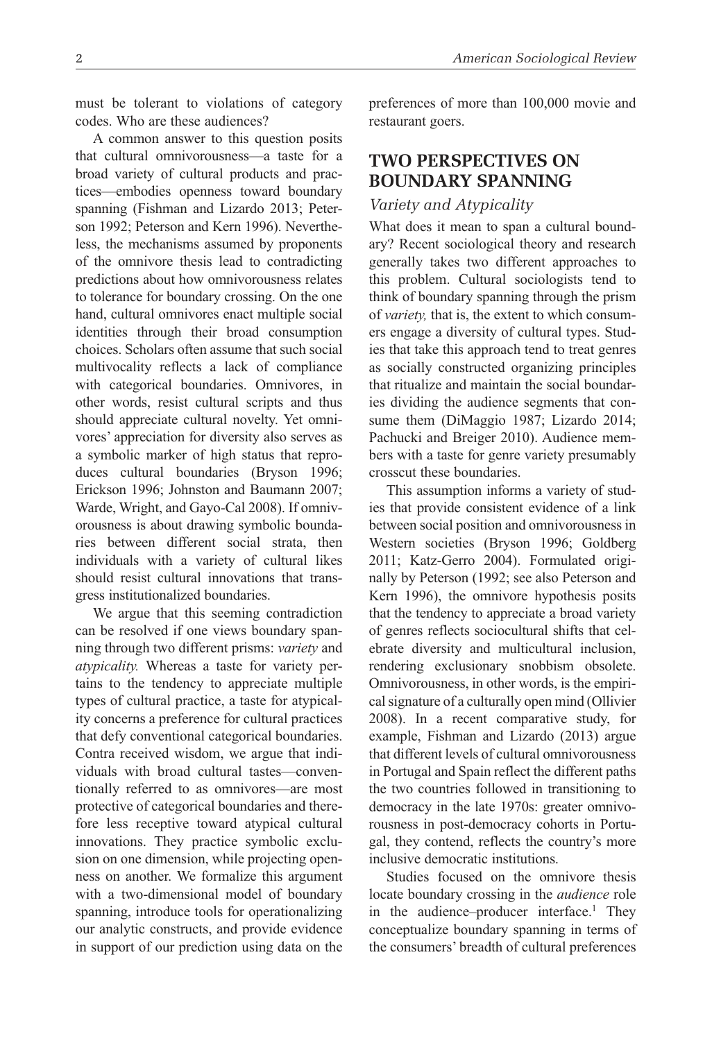must be tolerant to violations of category codes. Who are these audiences?

A common answer to this question posits that cultural omnivorousness—a taste for a broad variety of cultural products and practices—embodies openness toward boundary spanning (Fishman and Lizardo 2013; Peterson 1992; Peterson and Kern 1996). Nevertheless, the mechanisms assumed by proponents of the omnivore thesis lead to contradicting predictions about how omnivorousness relates to tolerance for boundary crossing. On the one hand, cultural omnivores enact multiple social identities through their broad consumption choices. Scholars often assume that such social multivocality reflects a lack of compliance with categorical boundaries. Omnivores, in other words, resist cultural scripts and thus should appreciate cultural novelty. Yet omnivores' appreciation for diversity also serves as a symbolic marker of high status that reproduces cultural boundaries (Bryson 1996; Erickson 1996; Johnston and Baumann 2007; Warde, Wright, and Gayo-Cal 2008). If omnivorousness is about drawing symbolic boundaries between different social strata, then individuals with a variety of cultural likes should resist cultural innovations that transgress institutionalized boundaries.

We argue that this seeming contradiction can be resolved if one views boundary spanning through two different prisms: *variety* and *atypicality.* Whereas a taste for variety pertains to the tendency to appreciate multiple types of cultural practice, a taste for atypicality concerns a preference for cultural practices that defy conventional categorical boundaries. Contra received wisdom, we argue that individuals with broad cultural tastes—conventionally referred to as omnivores—are most protective of categorical boundaries and therefore less receptive toward atypical cultural innovations. They practice symbolic exclusion on one dimension, while projecting openness on another. We formalize this argument with a two-dimensional model of boundary spanning, introduce tools for operationalizing our analytic constructs, and provide evidence in support of our prediction using data on the preferences of more than 100,000 movie and restaurant goers.

## **TWO PERSPECTIVES ON BOUNDARY SPANNING**

#### *Variety and Atypicality*

What does it mean to span a cultural boundary? Recent sociological theory and research generally takes two different approaches to this problem. Cultural sociologists tend to think of boundary spanning through the prism of *variety,* that is, the extent to which consumers engage a diversity of cultural types. Studies that take this approach tend to treat genres as socially constructed organizing principles that ritualize and maintain the social boundaries dividing the audience segments that consume them (DiMaggio 1987; Lizardo 2014; Pachucki and Breiger 2010). Audience members with a taste for genre variety presumably crosscut these boundaries.

This assumption informs a variety of studies that provide consistent evidence of a link between social position and omnivorousness in Western societies (Bryson 1996; Goldberg 2011; Katz-Gerro 2004). Formulated originally by Peterson (1992; see also Peterson and Kern 1996), the omnivore hypothesis posits that the tendency to appreciate a broad variety of genres reflects sociocultural shifts that celebrate diversity and multicultural inclusion, rendering exclusionary snobbism obsolete. Omnivorousness, in other words, is the empirical signature of a culturally open mind (Ollivier 2008). In a recent comparative study, for example, Fishman and Lizardo (2013) argue that different levels of cultural omnivorousness in Portugal and Spain reflect the different paths the two countries followed in transitioning to democracy in the late 1970s: greater omnivorousness in post-democracy cohorts in Portugal, they contend, reflects the country's more inclusive democratic institutions.

Studies focused on the omnivore thesis locate boundary crossing in the *audience* role in the audience-producer interface.<sup>1</sup> They conceptualize boundary spanning in terms of the consumers' breadth of cultural preferences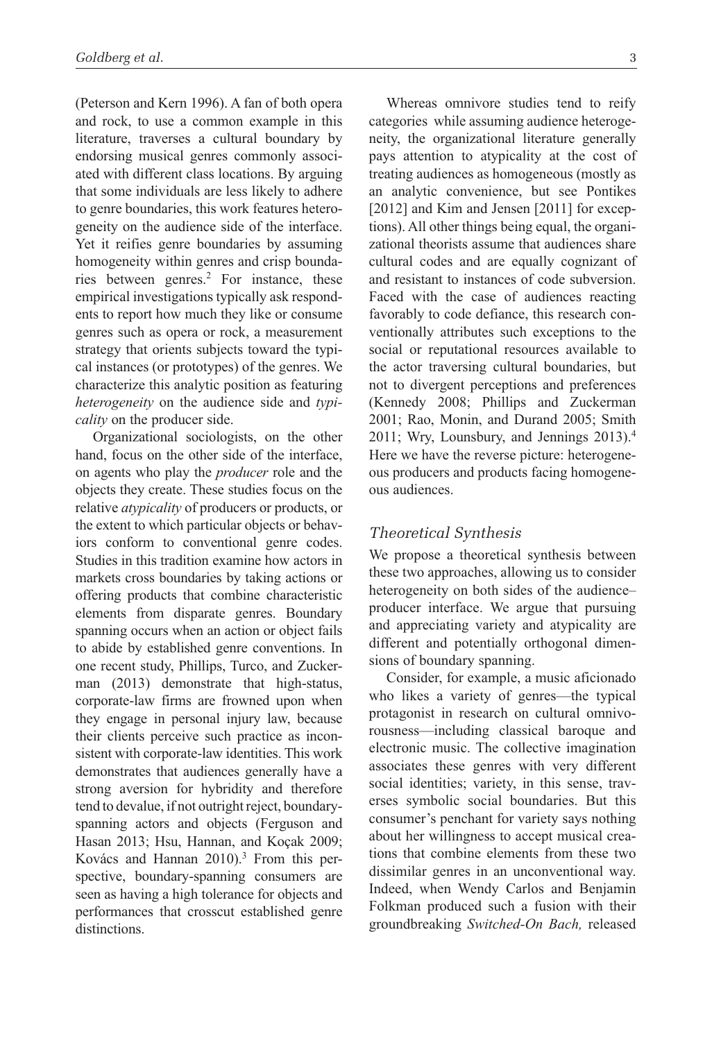(Peterson and Kern 1996). A fan of both opera and rock, to use a common example in this literature, traverses a cultural boundary by endorsing musical genres commonly associated with different class locations. By arguing that some individuals are less likely to adhere to genre boundaries, this work features heterogeneity on the audience side of the interface. Yet it reifies genre boundaries by assuming homogeneity within genres and crisp boundaries between genres.<sup>2</sup> For instance, these empirical investigations typically ask respondents to report how much they like or consume genres such as opera or rock, a measurement strategy that orients subjects toward the typical instances (or prototypes) of the genres. We characterize this analytic position as featuring *heterogeneity* on the audience side and *typicality* on the producer side.

Organizational sociologists, on the other hand, focus on the other side of the interface, on agents who play the *producer* role and the objects they create. These studies focus on the relative *atypicality* of producers or products, or the extent to which particular objects or behaviors conform to conventional genre codes. Studies in this tradition examine how actors in markets cross boundaries by taking actions or offering products that combine characteristic elements from disparate genres. Boundary spanning occurs when an action or object fails to abide by established genre conventions. In one recent study, Phillips, Turco, and Zuckerman (2013) demonstrate that high-status, corporate-law firms are frowned upon when they engage in personal injury law, because their clients perceive such practice as inconsistent with corporate-law identities. This work demonstrates that audiences generally have a strong aversion for hybridity and therefore tend to devalue, if not outright reject, boundaryspanning actors and objects (Ferguson and Hasan 2013; Hsu, Hannan, and Koçak 2009; Kovács and Hannan 2010).<sup>3</sup> From this perspective, boundary-spanning consumers are seen as having a high tolerance for objects and performances that crosscut established genre distinctions.

Whereas omnivore studies tend to reify categories while assuming audience heterogeneity, the organizational literature generally pays attention to atypicality at the cost of treating audiences as homogeneous (mostly as an analytic convenience, but see Pontikes [2012] and Kim and Jensen [2011] for exceptions). All other things being equal, the organizational theorists assume that audiences share cultural codes and are equally cognizant of and resistant to instances of code subversion. Faced with the case of audiences reacting favorably to code defiance, this research conventionally attributes such exceptions to the social or reputational resources available to the actor traversing cultural boundaries, but not to divergent perceptions and preferences (Kennedy 2008; Phillips and Zuckerman 2001; Rao, Monin, and Durand 2005; Smith 2011; Wry, Lounsbury, and Jennings 2013).<sup>4</sup> Here we have the reverse picture: heterogeneous producers and products facing homogeneous audiences.

#### *Theoretical Synthesis*

We propose a theoretical synthesis between these two approaches, allowing us to consider heterogeneity on both sides of the audience– producer interface. We argue that pursuing and appreciating variety and atypicality are different and potentially orthogonal dimensions of boundary spanning.

Consider, for example, a music aficionado who likes a variety of genres—the typical protagonist in research on cultural omnivorousness—including classical baroque and electronic music. The collective imagination associates these genres with very different social identities; variety, in this sense, traverses symbolic social boundaries. But this consumer's penchant for variety says nothing about her willingness to accept musical creations that combine elements from these two dissimilar genres in an unconventional way. Indeed, when Wendy Carlos and Benjamin Folkman produced such a fusion with their groundbreaking *Switched-On Bach,* released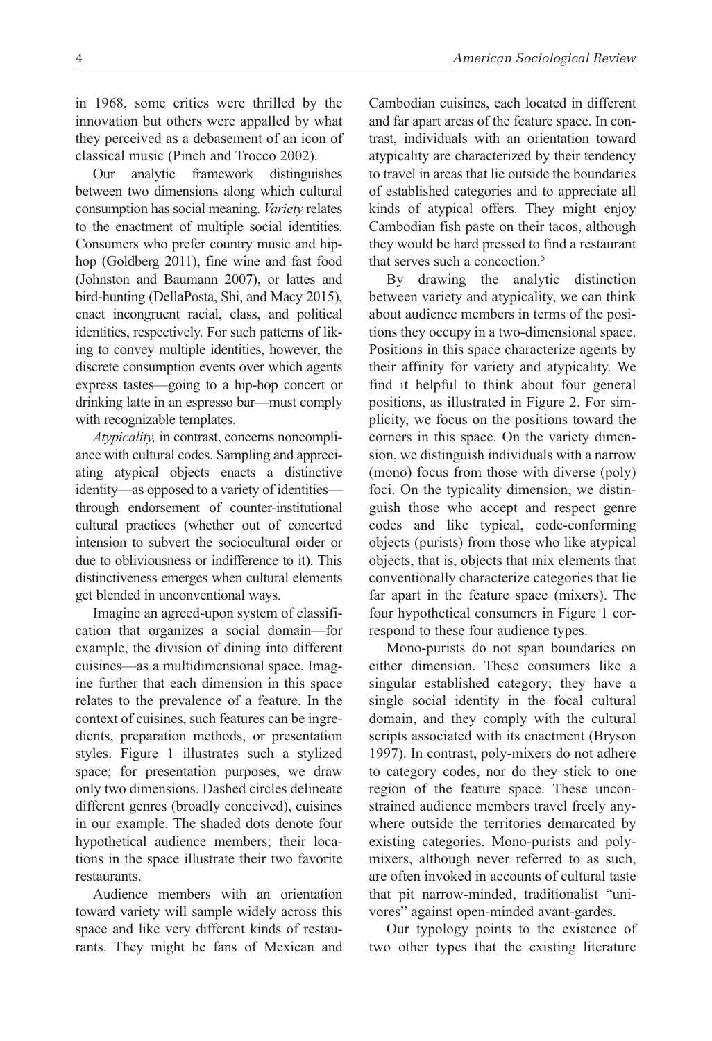in 1968, some critics were thrilled by the innovation but others were appalled by what they perceived as a debasement of an icon of classical music (Pinch and Trocco 2002).

Our analytic framework distinguishes between two dimensions along which cultural consumption has social meaning. *Variety* relates to the enactment of multiple social identities. Consumers who prefer country music and hiphop (Goldberg 2011), fine wine and fast food (Johnston and Baumann 2007), or lattes and bird-hunting (DellaPosta, Shi, and Macy 2015), enact incongruent racial, class, and political identities, respectively. For such patterns of liking to convey multiple identities, however, the discrete consumption events over which agents express tastes—going to a hip-hop concert or drinking latte in an espresso bar—must comply with recognizable templates.

*Atypicality,* in contrast, concerns noncompliance with cultural codes. Sampling and appreciating atypical objects enacts a distinctive identity—as opposed to a variety of identities through endorsement of counter-institutional cultural practices (whether out of concerted intension to subvert the sociocultural order or due to obliviousness or indifference to it). This distinctiveness emerges when cultural elements get blended in unconventional ways.

Imagine an agreed-upon system of classification that organizes a social domain—for example, the division of dining into different cuisines—as a multidimensional space. Imagine further that each dimension in this space relates to the prevalence of a feature. In the context of cuisines, such features can be ingredients, preparation methods, or presentation styles. Figure 1 illustrates such a stylized space; for presentation purposes, we draw only two dimensions. Dashed circles delineate different genres (broadly conceived), cuisines in our example. The shaded dots denote four hypothetical audience members; their locations in the space illustrate their two favorite restaurants.

Audience members with an orientation toward variety will sample widely across this space and like very different kinds of restaurants. They might be fans of Mexican and

Cambodian cuisines, each located in different and far apart areas of the feature space. In contrast, individuals with an orientation toward atypicality are characterized by their tendency to travel in areas that lie outside the boundaries of established categories and to appreciate all kinds of atypical offers. They might enjoy Cambodian fish paste on their tacos, although they would be hard pressed to find a restaurant that serves such a concoction.<sup>5</sup>

By drawing the analytic distinction between variety and atypicality, we can think about audience members in terms of the positions they occupy in a two-dimensional space. Positions in this space characterize agents by their affinity for variety and atypicality. We find it helpful to think about four general positions, as illustrated in Figure 2. For simplicity, we focus on the positions toward the corners in this space. On the variety dimension, we distinguish individuals with a narrow (mono) focus from those with diverse (poly) foci. On the typicality dimension, we distinguish those who accept and respect genre codes and like typical, code-conforming objects (purists) from those who like atypical objects, that is, objects that mix elements that conventionally characterize categories that lie far apart in the feature space (mixers). The four hypothetical consumers in Figure 1 correspond to these four audience types.

Mono-purists do not span boundaries on either dimension. These consumers like a singular established category; they have a single social identity in the focal cultural domain, and they comply with the cultural scripts associated with its enactment (Bryson 1997). In contrast, poly-mixers do not adhere to category codes, nor do they stick to one region of the feature space. These unconstrained audience members travel freely anywhere outside the territories demarcated by existing categories. Mono-purists and polymixers, although never referred to as such, are often invoked in accounts of cultural taste that pit narrow-minded, traditionalist "univores" against open-minded avant-gardes.

Our typology points to the existence of two other types that the existing literature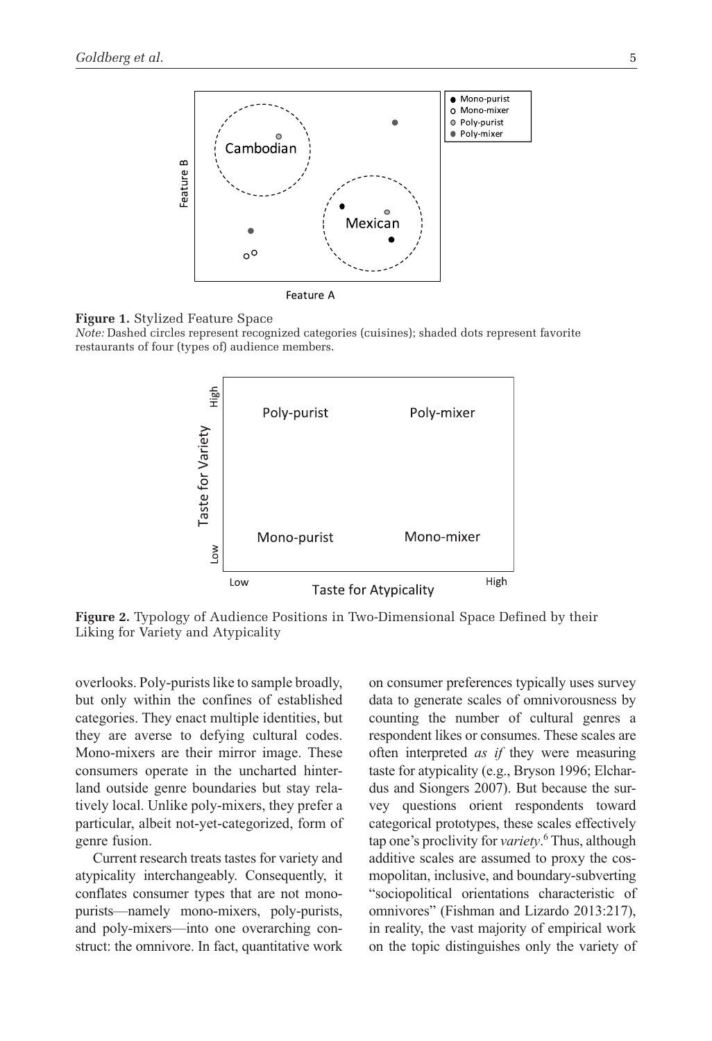

Feature A

#### **Figure 1.** Stylized Feature Space

*Note:* Dashed circles represent recognized categories (cuisines); shaded dots represent favorite restaurants of four (types of) audience members.



**Figure 2.** Typology of Audience Positions in Two-Dimensional Space Defined by their Liking for Variety and Atypicality

overlooks. Poly-purists like to sample broadly, but only within the confines of established categories. They enact multiple identities, but they are averse to defying cultural codes. Mono-mixers are their mirror image. These consumers operate in the uncharted hinterland outside genre boundaries but stay relatively local. Unlike poly-mixers, they prefer a particular, albeit not-yet-categorized, form of genre fusion.

Current research treats tastes for variety and atypicality interchangeably. Consequently, it conflates consumer types that are not monopurists—namely mono-mixers, poly-purists, and poly-mixers—into one overarching construct: the omnivore. In fact, quantitative work on consumer preferences typically uses survey data to generate scales of omnivorousness by counting the number of cultural genres a respondent likes or consumes. These scales are often interpreted *as if* they were measuring taste for atypicality (e.g., Bryson 1996; Elchardus and Siongers 2007). But because the survey questions orient respondents toward categorical prototypes, these scales effectively tap one's proclivity for *variety*.<sup>6</sup> Thus, although additive scales are assumed to proxy the cosmopolitan, inclusive, and boundary-subverting "sociopolitical orientations characteristic of omnivores" (Fishman and Lizardo 2013:217), in reality, the vast majority of empirical work on the topic distinguishes only the variety of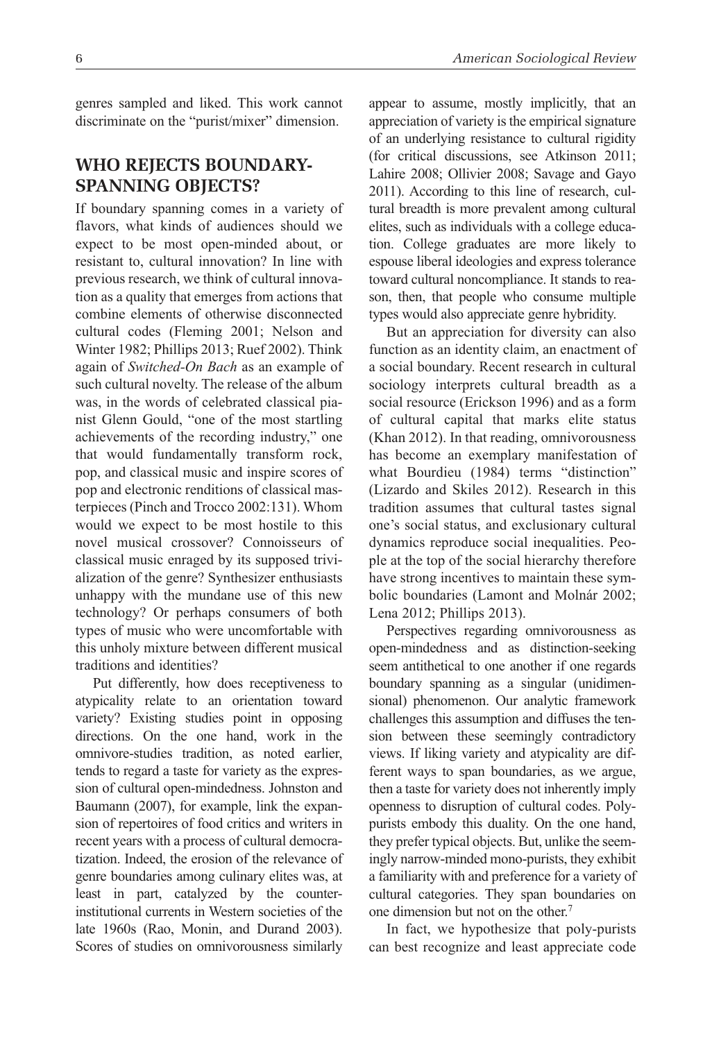genres sampled and liked. This work cannot discriminate on the "purist/mixer" dimension.

# **WHO REJECTS BOUNDARY-SPANNING OBJECTS?**

If boundary spanning comes in a variety of flavors, what kinds of audiences should we expect to be most open-minded about, or resistant to, cultural innovation? In line with previous research, we think of cultural innovation as a quality that emerges from actions that combine elements of otherwise disconnected cultural codes (Fleming 2001; Nelson and Winter 1982; Phillips 2013; Ruef 2002). Think again of *Switched-On Bach* as an example of such cultural novelty. The release of the album was, in the words of celebrated classical pianist Glenn Gould, "one of the most startling achievements of the recording industry," one that would fundamentally transform rock, pop, and classical music and inspire scores of pop and electronic renditions of classical masterpieces (Pinch and Trocco 2002:131). Whom would we expect to be most hostile to this novel musical crossover? Connoisseurs of classical music enraged by its supposed trivialization of the genre? Synthesizer enthusiasts unhappy with the mundane use of this new technology? Or perhaps consumers of both types of music who were uncomfortable with this unholy mixture between different musical traditions and identities?

Put differently, how does receptiveness to atypicality relate to an orientation toward variety? Existing studies point in opposing directions. On the one hand, work in the omnivore-studies tradition, as noted earlier, tends to regard a taste for variety as the expression of cultural open-mindedness. Johnston and Baumann (2007), for example, link the expansion of repertoires of food critics and writers in recent years with a process of cultural democratization. Indeed, the erosion of the relevance of genre boundaries among culinary elites was, at least in part, catalyzed by the counterinstitutional currents in Western societies of the late 1960s (Rao, Monin, and Durand 2003). Scores of studies on omnivorousness similarly

appear to assume, mostly implicitly, that an appreciation of variety is the empirical signature of an underlying resistance to cultural rigidity (for critical discussions, see Atkinson 2011; Lahire 2008; Ollivier 2008; Savage and Gayo 2011). According to this line of research, cultural breadth is more prevalent among cultural elites, such as individuals with a college education. College graduates are more likely to espouse liberal ideologies and express tolerance toward cultural noncompliance. It stands to reason, then, that people who consume multiple types would also appreciate genre hybridity.

But an appreciation for diversity can also function as an identity claim, an enactment of a social boundary. Recent research in cultural sociology interprets cultural breadth as a social resource (Erickson 1996) and as a form of cultural capital that marks elite status (Khan 2012). In that reading, omnivorousness has become an exemplary manifestation of what Bourdieu (1984) terms "distinction" (Lizardo and Skiles 2012). Research in this tradition assumes that cultural tastes signal one's social status, and exclusionary cultural dynamics reproduce social inequalities. People at the top of the social hierarchy therefore have strong incentives to maintain these symbolic boundaries (Lamont and Molnár 2002; Lena 2012; Phillips 2013).

Perspectives regarding omnivorousness as open-mindedness and as distinction-seeking seem antithetical to one another if one regards boundary spanning as a singular (unidimensional) phenomenon. Our analytic framework challenges this assumption and diffuses the tension between these seemingly contradictory views. If liking variety and atypicality are different ways to span boundaries, as we argue, then a taste for variety does not inherently imply openness to disruption of cultural codes. Polypurists embody this duality. On the one hand, they prefer typical objects. But, unlike the seemingly narrow-minded mono-purists, they exhibit a familiarity with and preference for a variety of cultural categories. They span boundaries on one dimension but not on the other.<sup>7</sup>

In fact, we hypothesize that poly-purists can best recognize and least appreciate code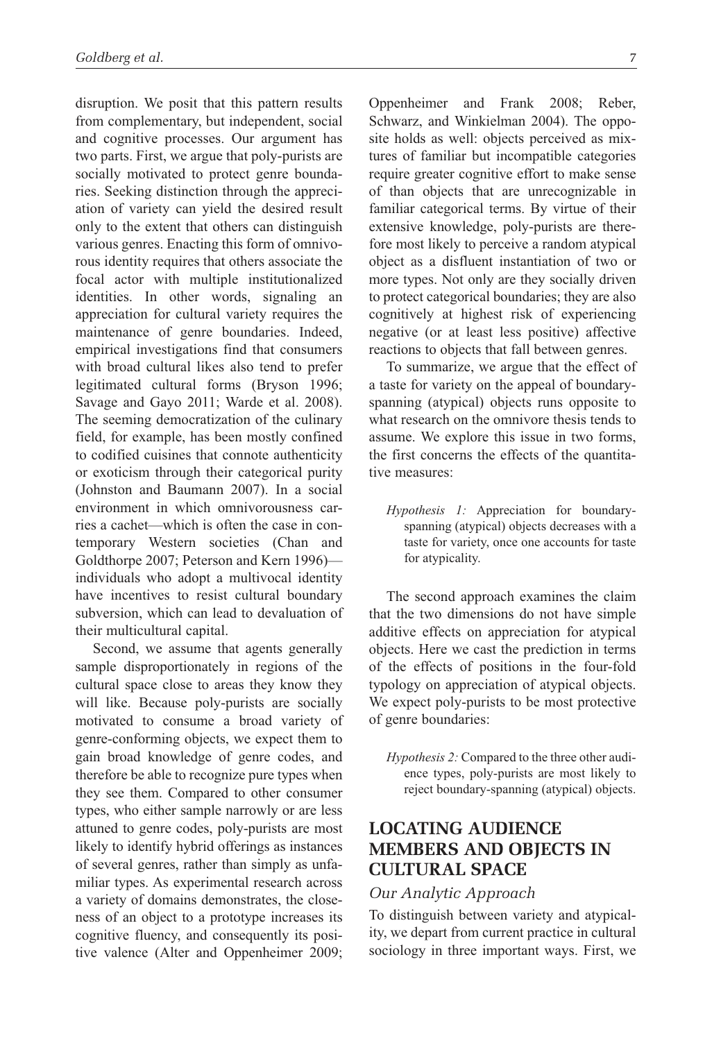disruption. We posit that this pattern results from complementary, but independent, social and cognitive processes. Our argument has two parts. First, we argue that poly-purists are socially motivated to protect genre boundaries. Seeking distinction through the appreciation of variety can yield the desired result only to the extent that others can distinguish various genres. Enacting this form of omnivorous identity requires that others associate the focal actor with multiple institutionalized identities. In other words, signaling an appreciation for cultural variety requires the maintenance of genre boundaries. Indeed, empirical investigations find that consumers with broad cultural likes also tend to prefer legitimated cultural forms (Bryson 1996; Savage and Gayo 2011; Warde et al. 2008). The seeming democratization of the culinary field, for example, has been mostly confined to codified cuisines that connote authenticity or exoticism through their categorical purity (Johnston and Baumann 2007). In a social environment in which omnivorousness carries a cachet—which is often the case in contemporary Western societies (Chan and Goldthorpe 2007; Peterson and Kern 1996) individuals who adopt a multivocal identity have incentives to resist cultural boundary subversion, which can lead to devaluation of their multicultural capital.

Second, we assume that agents generally sample disproportionately in regions of the cultural space close to areas they know they will like. Because poly-purists are socially motivated to consume a broad variety of genre-conforming objects, we expect them to gain broad knowledge of genre codes, and therefore be able to recognize pure types when they see them. Compared to other consumer types, who either sample narrowly or are less attuned to genre codes, poly-purists are most likely to identify hybrid offerings as instances of several genres, rather than simply as unfamiliar types. As experimental research across a variety of domains demonstrates, the closeness of an object to a prototype increases its cognitive fluency, and consequently its positive valence (Alter and Oppenheimer 2009;

Oppenheimer and Frank 2008; Reber, Schwarz, and Winkielman 2004). The opposite holds as well: objects perceived as mixtures of familiar but incompatible categories require greater cognitive effort to make sense of than objects that are unrecognizable in familiar categorical terms. By virtue of their extensive knowledge, poly-purists are therefore most likely to perceive a random atypical object as a disfluent instantiation of two or more types. Not only are they socially driven to protect categorical boundaries; they are also cognitively at highest risk of experiencing negative (or at least less positive) affective reactions to objects that fall between genres.

To summarize, we argue that the effect of a taste for variety on the appeal of boundaryspanning (atypical) objects runs opposite to what research on the omnivore thesis tends to assume. We explore this issue in two forms, the first concerns the effects of the quantitative measures:

*Hypothesis 1:* Appreciation for boundaryspanning (atypical) objects decreases with a taste for variety, once one accounts for taste for atypicality.

The second approach examines the claim that the two dimensions do not have simple additive effects on appreciation for atypical objects. Here we cast the prediction in terms of the effects of positions in the four-fold typology on appreciation of atypical objects. We expect poly-purists to be most protective of genre boundaries:

*Hypothesis 2:* Compared to the three other audience types, poly-purists are most likely to reject boundary-spanning (atypical) objects.

# **LOCATING AUDIENCE MEMBERS AND OBJECTS IN CULTURAL SPACE**

### *Our Analytic Approach*

To distinguish between variety and atypicality, we depart from current practice in cultural sociology in three important ways. First, we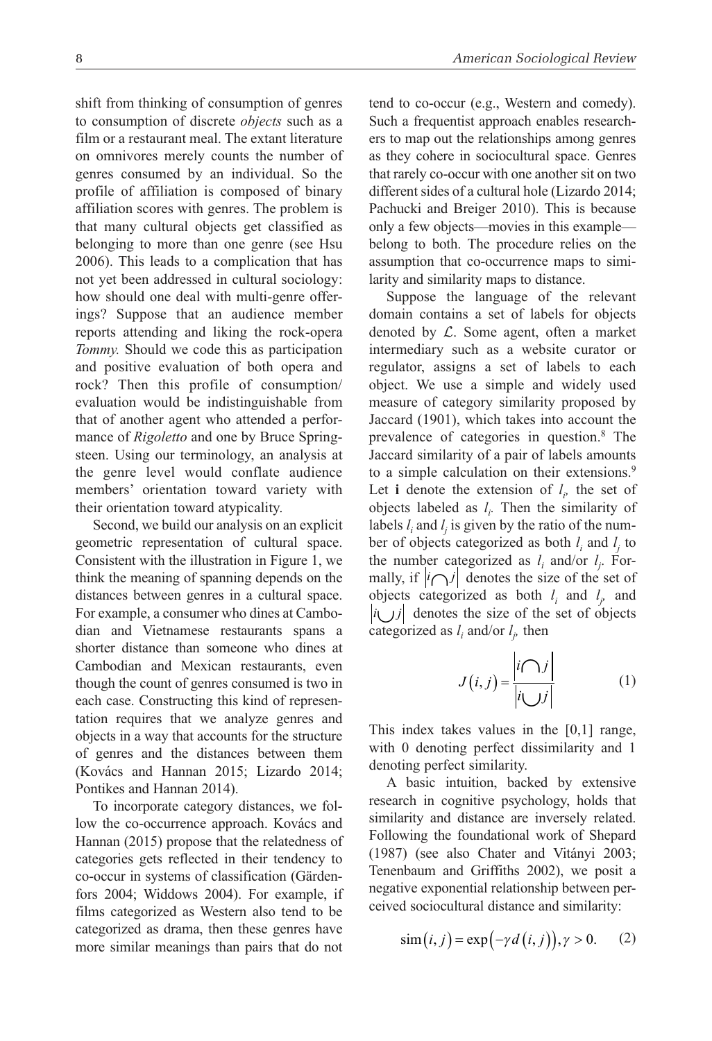shift from thinking of consumption of genres to consumption of discrete *objects* such as a film or a restaurant meal. The extant literature on omnivores merely counts the number of genres consumed by an individual. So the profile of affiliation is composed of binary affiliation scores with genres. The problem is that many cultural objects get classified as belonging to more than one genre (see Hsu 2006). This leads to a complication that has not yet been addressed in cultural sociology: how should one deal with multi-genre offerings? Suppose that an audience member reports attending and liking the rock-opera *Tommy.* Should we code this as participation and positive evaluation of both opera and rock? Then this profile of consumption/ evaluation would be indistinguishable from that of another agent who attended a performance of *Rigoletto* and one by Bruce Springsteen. Using our terminology, an analysis at the genre level would conflate audience members' orientation toward variety with their orientation toward atypicality.

Second, we build our analysis on an explicit geometric representation of cultural space. Consistent with the illustration in Figure 1, we think the meaning of spanning depends on the distances between genres in a cultural space. For example, a consumer who dines at Cambodian and Vietnamese restaurants spans a shorter distance than someone who dines at Cambodian and Mexican restaurants, even though the count of genres consumed is two in each case. Constructing this kind of representation requires that we analyze genres and objects in a way that accounts for the structure of genres and the distances between them (Kovács and Hannan 2015; Lizardo 2014; Pontikes and Hannan 2014).

To incorporate category distances, we follow the co-occurrence approach. Kovács and Hannan (2015) propose that the relatedness of categories gets reflected in their tendency to co-occur in systems of classification (Gärdenfors 2004; Widdows 2004). For example, if films categorized as Western also tend to be categorized as drama, then these genres have more similar meanings than pairs that do not

tend to co-occur (e.g., Western and comedy). Such a frequentist approach enables researchers to map out the relationships among genres as they cohere in sociocultural space. Genres that rarely co-occur with one another sit on two different sides of a cultural hole (Lizardo 2014; Pachucki and Breiger 2010). This is because only a few objects—movies in this example belong to both. The procedure relies on the assumption that co-occurrence maps to similarity and similarity maps to distance.

Suppose the language of the relevant domain contains a set of labels for objects denoted by  $\mathcal{L}$ . Some agent, often a market intermediary such as a website curator or regulator, assigns a set of labels to each object. We use a simple and widely used measure of category similarity proposed by Jaccard (1901), which takes into account the prevalence of categories in question.<sup>8</sup> The Jaccard similarity of a pair of labels amounts to a simple calculation on their extensions.<sup>9</sup> Let **i** denote the extension of  $l_i$ , the set of objects labeled as  $l_i$ . Then the similarity of labels  $l_i$  and  $l_j$  is given by the ratio of the number of objects categorized as both  $l_i$  and  $l_j$  to the number categorized as  $l_i$  and/or  $l_j$ . Formally, if  $\left| i \bigcap j \right|$  denotes the size of the set of objects categorized as both  $l_i$  and  $l_j$  and *i*∪*j* denotes the size of the set of objects categorized as  $l_i$  and/or  $l_j$ , then

$$
J(i,j) = \frac{|i \bigcap j|}{|i \bigcup j|} \tag{1}
$$

This index takes values in the [0,1] range, with 0 denoting perfect dissimilarity and 1 denoting perfect similarity.

A basic intuition, backed by extensive research in cognitive psychology, holds that similarity and distance are inversely related. Following the foundational work of Shepard (1987) (see also Chater and Vitányi 2003; Tenenbaum and Griffiths 2002), we posit a negative exponential relationship between perceived sociocultural distance and similarity:

$$
\operatorname{sim}(i, j) = \exp\bigl(-\gamma d(i, j)\bigr), \gamma > 0. \qquad (2)
$$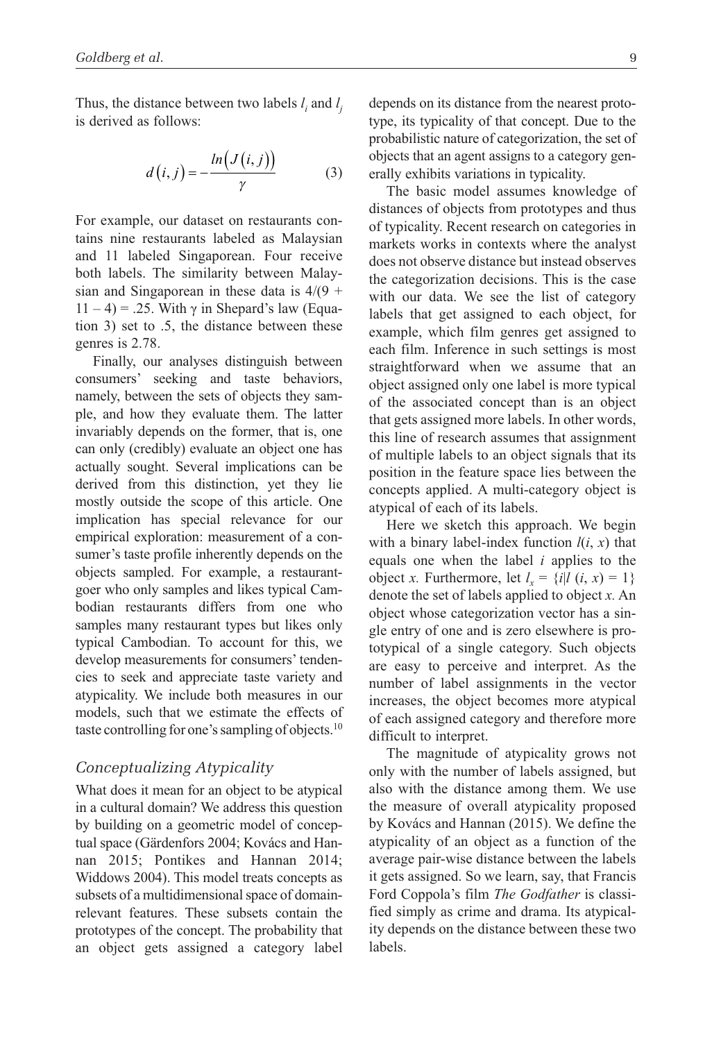Thus, the distance between two labels  $l_i$  and  $l_j$ is derived as follows:

$$
d(i,j) = -\frac{\ln(J(i,j))}{\gamma} \tag{3}
$$

For example, our dataset on restaurants contains nine restaurants labeled as Malaysian and 11 labeled Singaporean. Four receive both labels. The similarity between Malaysian and Singaporean in these data is  $4/(9 +$  $11 - 4$ ) = .25. With  $\gamma$  in Shepard's law (Equation 3) set to .5, the distance between these genres is 2.78.

Finally, our analyses distinguish between consumers' seeking and taste behaviors, namely, between the sets of objects they sample, and how they evaluate them. The latter invariably depends on the former, that is, one can only (credibly) evaluate an object one has actually sought. Several implications can be derived from this distinction, yet they lie mostly outside the scope of this article. One implication has special relevance for our empirical exploration: measurement of a consumer's taste profile inherently depends on the objects sampled. For example, a restaurantgoer who only samples and likes typical Cambodian restaurants differs from one who samples many restaurant types but likes only typical Cambodian. To account for this, we develop measurements for consumers' tendencies to seek and appreciate taste variety and atypicality. We include both measures in our models, such that we estimate the effects of taste controlling for one's sampling of objects.<sup>10</sup>

#### *Conceptualizing Atypicality*

What does it mean for an object to be atypical in a cultural domain? We address this question by building on a geometric model of conceptual space (Gärdenfors 2004; Kovács and Hannan 2015; Pontikes and Hannan 2014; Widdows 2004). This model treats concepts as subsets of a multidimensional space of domainrelevant features. These subsets contain the prototypes of the concept. The probability that an object gets assigned a category label depends on its distance from the nearest prototype, its typicality of that concept. Due to the probabilistic nature of categorization, the set of objects that an agent assigns to a category generally exhibits variations in typicality.

The basic model assumes knowledge of distances of objects from prototypes and thus of typicality. Recent research on categories in markets works in contexts where the analyst does not observe distance but instead observes the categorization decisions. This is the case with our data. We see the list of category labels that get assigned to each object, for example, which film genres get assigned to each film. Inference in such settings is most straightforward when we assume that an object assigned only one label is more typical of the associated concept than is an object that gets assigned more labels. In other words, this line of research assumes that assignment of multiple labels to an object signals that its position in the feature space lies between the concepts applied. A multi-category object is atypical of each of its labels.

Here we sketch this approach. We begin with a binary label-index function  $l(i, x)$  that equals one when the label *i* applies to the object *x*. Furthermore, let  $l_x = \{i | l \ (i, x) = 1\}$ denote the set of labels applied to object *x.* An object whose categorization vector has a single entry of one and is zero elsewhere is prototypical of a single category. Such objects are easy to perceive and interpret. As the number of label assignments in the vector increases, the object becomes more atypical of each assigned category and therefore more difficult to interpret.

The magnitude of atypicality grows not only with the number of labels assigned, but also with the distance among them. We use the measure of overall atypicality proposed by Kovács and Hannan (2015). We define the atypicality of an object as a function of the average pair-wise distance between the labels it gets assigned. So we learn, say, that Francis Ford Coppola's film *The Godfather* is classified simply as crime and drama. Its atypicality depends on the distance between these two labels.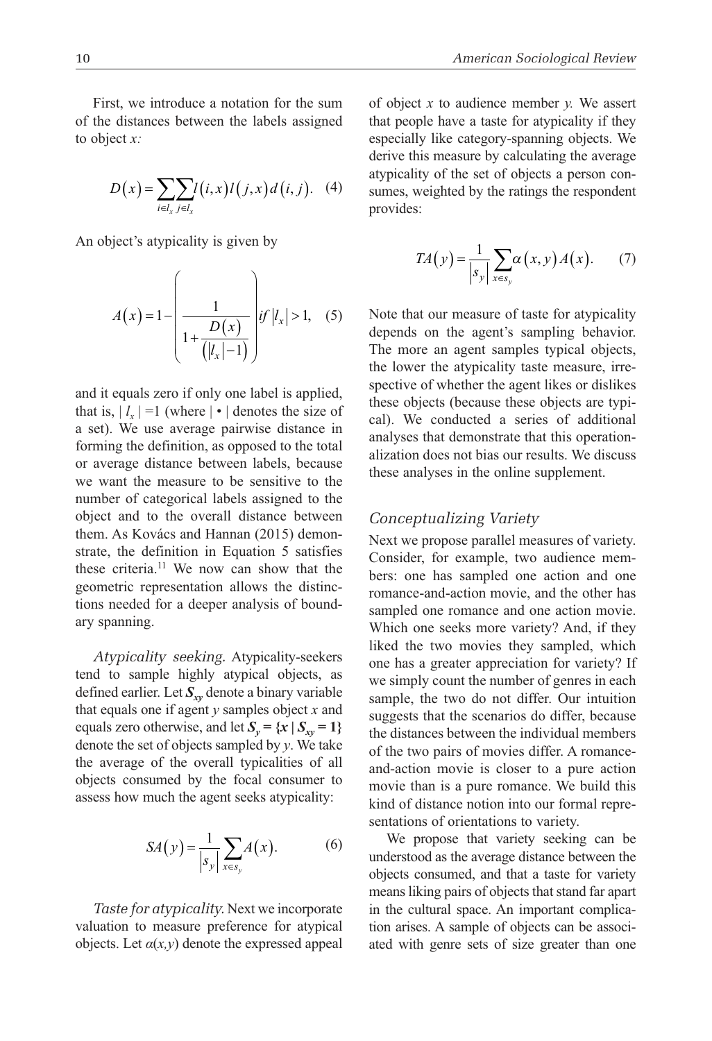First, we introduce a notation for the sum of the distances between the labels assigned to object *x:*

$$
D(x) = \sum_{i \in l_x} \sum_{j \in l_x} l(i, x) l(j, x) d(i, j). \quad (4)
$$

An object's atypicality is given by

$$
A(x) = 1 - \left(\frac{1}{1 + \frac{D(x)}{(|l_x| - 1)}}\right) \text{ if } |l_x| > 1, \quad (5)
$$

and it equals zero if only one label is applied, that is,  $|l_x|$  =1 (where  $|\cdot|$  denotes the size of a set). We use average pairwise distance in forming the definition, as opposed to the total or average distance between labels, because we want the measure to be sensitive to the number of categorical labels assigned to the object and to the overall distance between them. As Kovács and Hannan (2015) demonstrate, the definition in Equation 5 satisfies these criteria.<sup>11</sup> We now can show that the geometric representation allows the distinctions needed for a deeper analysis of boundary spanning.

*Atypicality seeking.* Atypicality-seekers tend to sample highly atypical objects, as defined earlier. Let *Sxy* denote a binary variable that equals one if agent *y* samples object *x* and equals zero otherwise, and let  $S_y = \{x \mid S_{xy} = 1\}$ denote the set of objects sampled by *y*. We take the average of the overall typicalities of all objects consumed by the focal consumer to assess how much the agent seeks atypicality:

$$
SA(y) = \frac{1}{|s_y|} \sum_{x \in s_y} A(x).
$$
 (6)

*Taste for atypicality.* Next we incorporate valuation to measure preference for atypical objects. Let  $\alpha(x, y)$  denote the expressed appeal of object *x* to audience member *y.* We assert that people have a taste for atypicality if they especially like category-spanning objects. We derive this measure by calculating the average atypicality of the set of objects a person consumes, weighted by the ratings the respondent provides:

$$
TA(y) = \frac{1}{|s_y|} \sum_{x \in s_y} \alpha(x, y) A(x). \tag{7}
$$

Note that our measure of taste for atypicality depends on the agent's sampling behavior. The more an agent samples typical objects, the lower the atypicality taste measure, irrespective of whether the agent likes or dislikes these objects (because these objects are typical). We conducted a series of additional analyses that demonstrate that this operationalization does not bias our results. We discuss these analyses in the online supplement.

#### *Conceptualizing Variety*

Next we propose parallel measures of variety. Consider, for example, two audience members: one has sampled one action and one romance-and-action movie, and the other has sampled one romance and one action movie. Which one seeks more variety? And, if they liked the two movies they sampled, which one has a greater appreciation for variety? If we simply count the number of genres in each sample, the two do not differ. Our intuition suggests that the scenarios do differ, because the distances between the individual members of the two pairs of movies differ. A romanceand-action movie is closer to a pure action movie than is a pure romance. We build this kind of distance notion into our formal representations of orientations to variety.

We propose that variety seeking can be understood as the average distance between the objects consumed, and that a taste for variety means liking pairs of objects that stand far apart in the cultural space. An important complication arises. A sample of objects can be associated with genre sets of size greater than one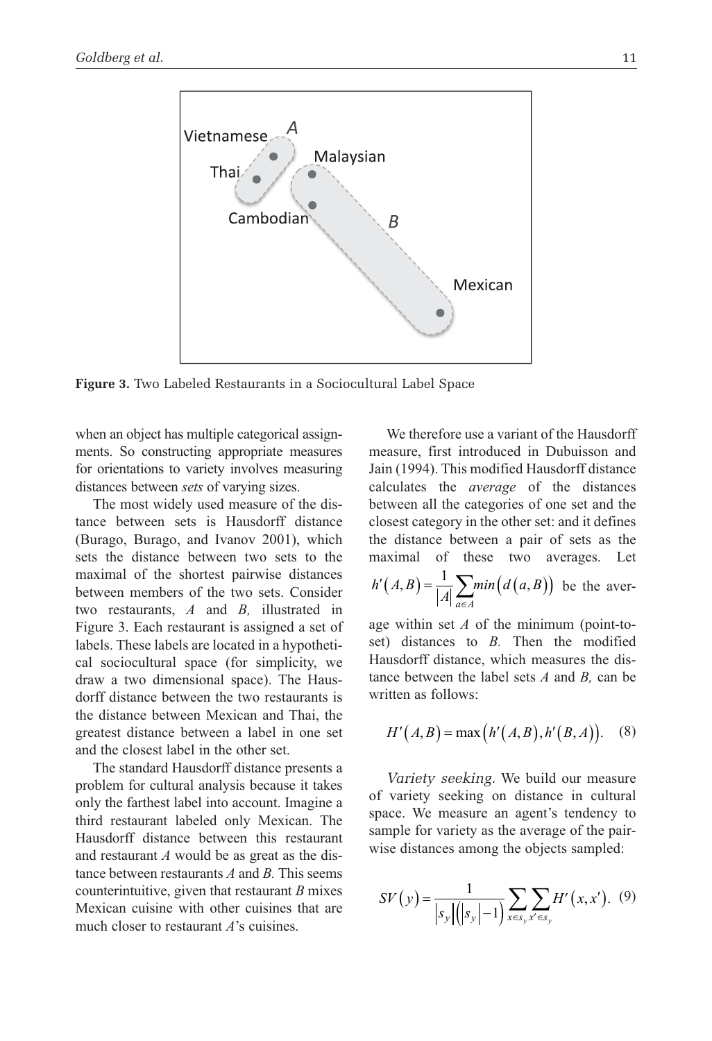

**Figure 3.** Two Labeled Restaurants in a Sociocultural Label Space

when an object has multiple categorical assignments. So constructing appropriate measures for orientations to variety involves measuring distances between *sets* of varying sizes.

The most widely used measure of the distance between sets is Hausdorff distance (Burago, Burago, and Ivanov 2001), which sets the distance between two sets to the maximal of the shortest pairwise distances between members of the two sets. Consider two restaurants, *A* and *B,* illustrated in Figure 3. Each restaurant is assigned a set of labels. These labels are located in a hypothetical sociocultural space (for simplicity, we draw a two dimensional space). The Hausdorff distance between the two restaurants is the distance between Mexican and Thai, the greatest distance between a label in one set and the closest label in the other set.

The standard Hausdorff distance presents a problem for cultural analysis because it takes only the farthest label into account. Imagine a third restaurant labeled only Mexican. The Hausdorff distance between this restaurant and restaurant *A* would be as great as the distance between restaurants *A* and *B.* This seems counterintuitive, given that restaurant *B* mixes Mexican cuisine with other cuisines that are much closer to restaurant *A*'s cuisines.

We therefore use a variant of the Hausdorff measure, first introduced in Dubuisson and Jain (1994). This modified Hausdorff distance calculates the *average* of the distances between all the categories of one set and the closest category in the other set: and it defines the distance between a pair of sets as the maximal of these two averages. Let  $J'(A, B) = \frac{1}{|A|} \sum min (d(a, B))$ ∈  $h'(A, B) = \frac{1}{|A|} \sum_{a \in A} min(d(a, B))$  $(a, B) = \frac{1}{|A|} \sum min(d(a, B))$  be the aver-

age within set *A* of the minimum (point-toset) distances to *B.* Then the modified Hausdorff distance, which measures the distance between the label sets *A* and *B,* can be written as follows:

$$
H'(A, B) = \max(h'(A, B), h'(B, A)).
$$
 (8)

*Variety seeking.* We build our measure of variety seeking on distance in cultural space. We measure an agent's tendency to sample for variety as the average of the pairwise distances among the objects sampled:

$$
SV(y) = \frac{1}{|s_{y}||(|s_{y}|-1)} \sum_{x \in s_{y}} \sum_{x' \in s_{y}} H'(x, x'). \quad (9)
$$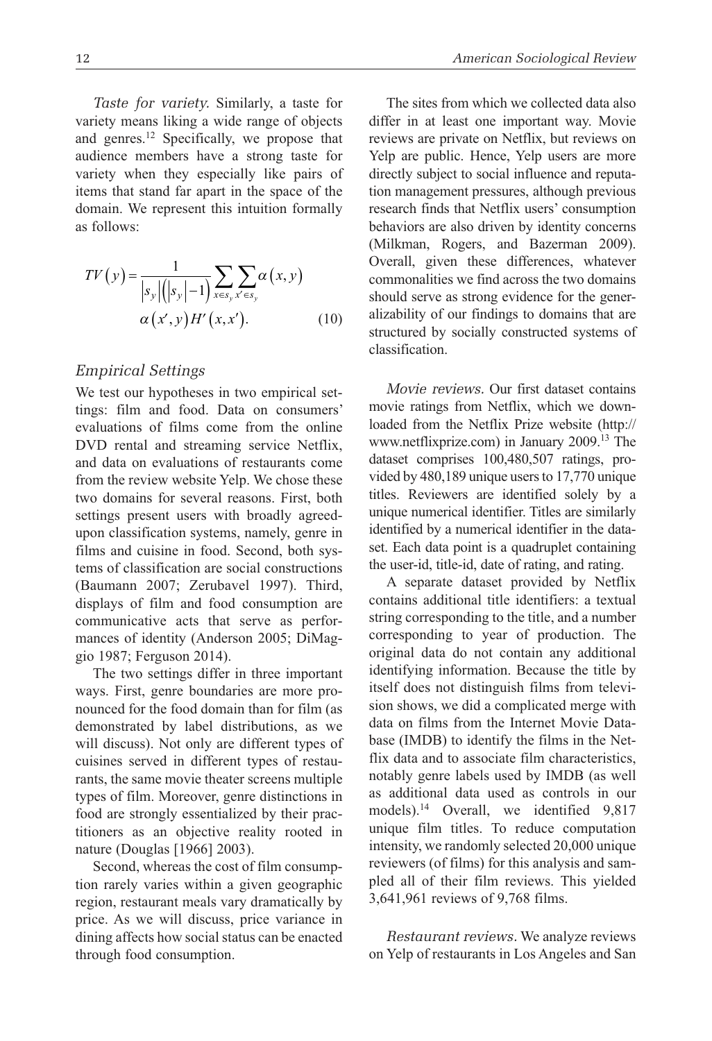*Taste for variety.* Similarly, a taste for variety means liking a wide range of objects and genres.<sup>12</sup> Specifically, we propose that audience members have a strong taste for variety when they especially like pairs of items that stand far apart in the space of the domain. We represent this intuition formally as follows:

$$
TV(y) = \frac{1}{|s_y|(|s_y|-1)} \sum_{x \in s_y} \sum_{x' \in s_y} \alpha(x, y)
$$

$$
\alpha(x', y) H'(x, x').
$$
 (10)

#### *Empirical Settings*

We test our hypotheses in two empirical settings: film and food. Data on consumers' evaluations of films come from the online DVD rental and streaming service Netflix, and data on evaluations of restaurants come from the review website Yelp. We chose these two domains for several reasons. First, both settings present users with broadly agreedupon classification systems, namely, genre in films and cuisine in food. Second, both systems of classification are social constructions (Baumann 2007; Zerubavel 1997). Third, displays of film and food consumption are communicative acts that serve as performances of identity (Anderson 2005; DiMaggio 1987; Ferguson 2014).

The two settings differ in three important ways. First, genre boundaries are more pronounced for the food domain than for film (as demonstrated by label distributions, as we will discuss). Not only are different types of cuisines served in different types of restaurants, the same movie theater screens multiple types of film. Moreover, genre distinctions in food are strongly essentialized by their practitioners as an objective reality rooted in nature (Douglas [1966] 2003).

Second, whereas the cost of film consumption rarely varies within a given geographic region, restaurant meals vary dramatically by price. As we will discuss, price variance in dining affects how social status can be enacted through food consumption.

The sites from which we collected data also differ in at least one important way. Movie reviews are private on Netflix, but reviews on Yelp are public. Hence, Yelp users are more directly subject to social influence and reputation management pressures, although previous research finds that Netflix users' consumption behaviors are also driven by identity concerns (Milkman, Rogers, and Bazerman 2009). Overall, given these differences, whatever commonalities we find across the two domains should serve as strong evidence for the generalizability of our findings to domains that are structured by socially constructed systems of classification.

*Movie reviews.* Our first dataset contains movie ratings from Netflix, which we downloaded from the Netflix Prize website (http:// www.netflixprize.com) in January 2009.<sup>13</sup> The dataset comprises 100,480,507 ratings, provided by 480,189 unique users to 17,770 unique titles. Reviewers are identified solely by a unique numerical identifier. Titles are similarly identified by a numerical identifier in the dataset. Each data point is a quadruplet containing the user-id, title-id, date of rating, and rating.

A separate dataset provided by Netflix contains additional title identifiers: a textual string corresponding to the title, and a number corresponding to year of production. The original data do not contain any additional identifying information. Because the title by itself does not distinguish films from television shows, we did a complicated merge with data on films from the Internet Movie Database (IMDB) to identify the films in the Netflix data and to associate film characteristics, notably genre labels used by IMDB (as well as additional data used as controls in our models).<sup>14</sup> Overall, we identified 9,817 unique film titles. To reduce computation intensity, we randomly selected 20,000 unique reviewers (of films) for this analysis and sampled all of their film reviews. This yielded 3,641,961 reviews of 9,768 films.

*Restaurant reviews.* We analyze reviews on Yelp of restaurants in Los Angeles and San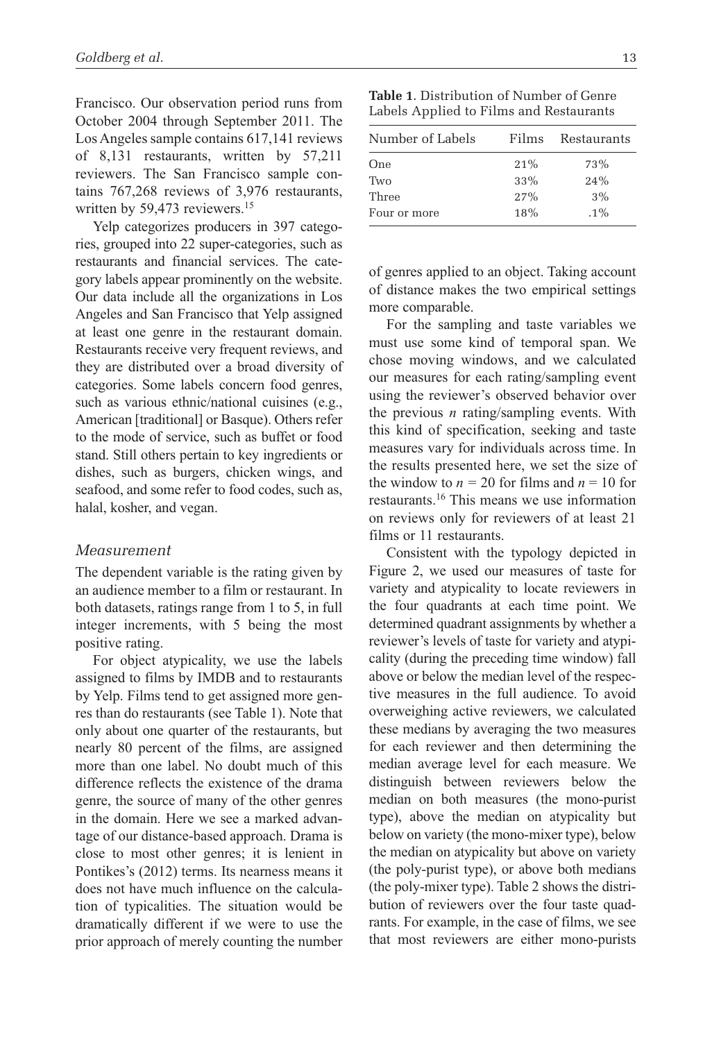Francisco. Our observation period runs from October 2004 through September 2011. The Los Angeles sample contains 617,141 reviews of 8,131 restaurants, written by 57,211 reviewers. The San Francisco sample contains 767,268 reviews of 3,976 restaurants, written by 59,473 reviewers.<sup>15</sup>

Yelp categorizes producers in 397 categories, grouped into 22 super-categories, such as restaurants and financial services. The category labels appear prominently on the website. Our data include all the organizations in Los Angeles and San Francisco that Yelp assigned at least one genre in the restaurant domain. Restaurants receive very frequent reviews, and they are distributed over a broad diversity of categories. Some labels concern food genres, such as various ethnic/national cuisines (e.g., American [traditional] or Basque). Others refer to the mode of service, such as buffet or food stand. Still others pertain to key ingredients or dishes, such as burgers, chicken wings, and seafood, and some refer to food codes, such as, halal, kosher, and vegan.

#### *Measurement*

The dependent variable is the rating given by an audience member to a film or restaurant. In both datasets, ratings range from 1 to 5, in full integer increments, with 5 being the most positive rating.

For object atypicality, we use the labels assigned to films by IMDB and to restaurants by Yelp. Films tend to get assigned more genres than do restaurants (see Table 1). Note that only about one quarter of the restaurants, but nearly 80 percent of the films, are assigned more than one label. No doubt much of this difference reflects the existence of the drama genre, the source of many of the other genres in the domain. Here we see a marked advantage of our distance-based approach. Drama is close to most other genres; it is lenient in Pontikes's (2012) terms. Its nearness means it does not have much influence on the calculation of typicalities. The situation would be dramatically different if we were to use the prior approach of merely counting the number

| <b>Table 1. Distribution of Number of Genre</b> |
|-------------------------------------------------|
| Labels Applied to Films and Restaurants         |

| Number of Labels | Films | Restaurants |
|------------------|-------|-------------|
| One              | 21%   | 73%         |
| Two              | 33%   | 24%         |
| Three            | 27%   | $3\%$       |
| Four or more     | 18%   | $.1\%$      |

of genres applied to an object. Taking account of distance makes the two empirical settings more comparable.

For the sampling and taste variables we must use some kind of temporal span. We chose moving windows, and we calculated our measures for each rating/sampling event using the reviewer's observed behavior over the previous *n* rating/sampling events. With this kind of specification, seeking and taste measures vary for individuals across time. In the results presented here, we set the size of the window to  $n = 20$  for films and  $n = 10$  for restaurants.<sup>16</sup> This means we use information on reviews only for reviewers of at least 21 films or 11 restaurants.

Consistent with the typology depicted in Figure 2, we used our measures of taste for variety and atypicality to locate reviewers in the four quadrants at each time point. We determined quadrant assignments by whether a reviewer's levels of taste for variety and atypicality (during the preceding time window) fall above or below the median level of the respective measures in the full audience. To avoid overweighing active reviewers, we calculated these medians by averaging the two measures for each reviewer and then determining the median average level for each measure. We distinguish between reviewers below the median on both measures (the mono-purist type), above the median on atypicality but below on variety (the mono-mixer type), below the median on atypicality but above on variety (the poly-purist type), or above both medians (the poly-mixer type). Table 2 shows the distribution of reviewers over the four taste quadrants. For example, in the case of films, we see that most reviewers are either mono-purists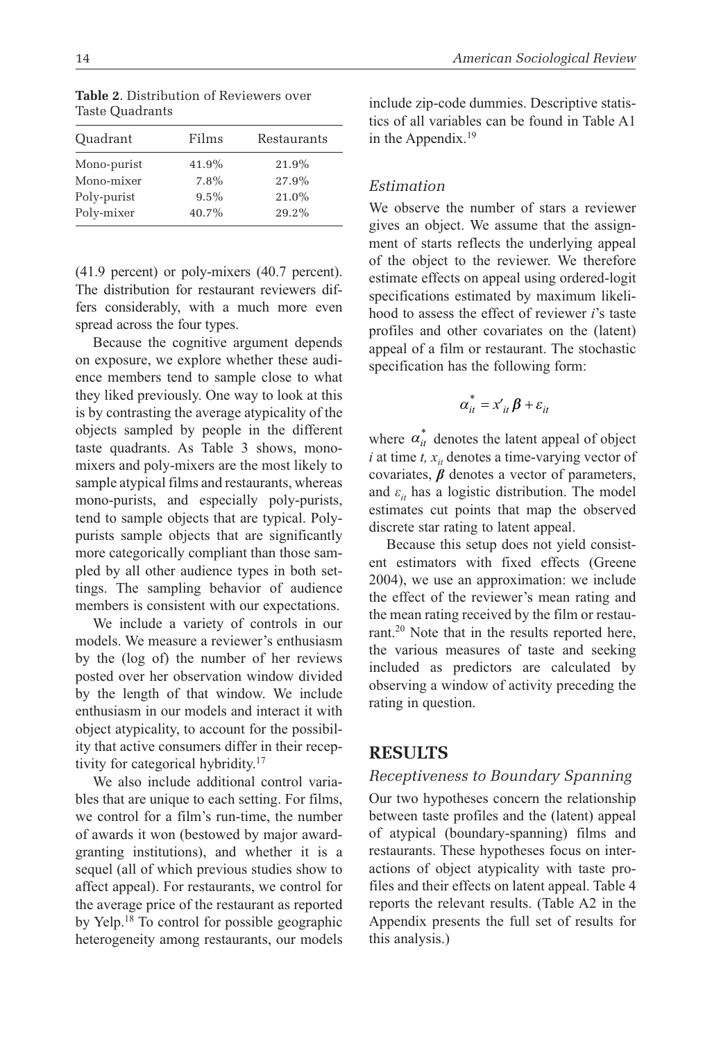| Quadrant    | Films   | Restaurants |
|-------------|---------|-------------|
| Mono-purist | 41.9%   | 21.9%       |
| Mono-mixer  | 7.8%    | 27.9%       |
| Poly-purist | $9.5\%$ | 21.0%       |
| Poly-mixer  | 40.7%   | 29.2%       |
|             |         |             |

**Table 2**. Distribution of Reviewers over Taste Quadrants

(41.9 percent) or poly-mixers (40.7 percent). The distribution for restaurant reviewers differs considerably, with a much more even spread across the four types.

Because the cognitive argument depends on exposure, we explore whether these audience members tend to sample close to what they liked previously. One way to look at this is by contrasting the average atypicality of the objects sampled by people in the different taste quadrants. As Table 3 shows, monomixers and poly-mixers are the most likely to sample atypical films and restaurants, whereas mono-purists, and especially poly-purists, tend to sample objects that are typical. Polypurists sample objects that are significantly more categorically compliant than those sampled by all other audience types in both settings. The sampling behavior of audience members is consistent with our expectations.

We include a variety of controls in our models. We measure a reviewer's enthusiasm by the (log of) the number of her reviews posted over her observation window divided by the length of that window. We include enthusiasm in our models and interact it with object atypicality, to account for the possibility that active consumers differ in their receptivity for categorical hybridity.<sup>17</sup>

We also include additional control variables that are unique to each setting. For films, we control for a film's run-time, the number of awards it won (bestowed by major awardgranting institutions), and whether it is a sequel (all of which previous studies show to affect appeal). For restaurants, we control for the average price of the restaurant as reported by Yelp.<sup>18</sup> To control for possible geographic heterogeneity among restaurants, our models include zip-code dummies. Descriptive statistics of all variables can be found in Table A1 in the Appendix.<sup>19</sup>

### *Estimation*

We observe the number of stars a reviewer gives an object. We assume that the assignment of starts reflects the underlying appeal of the object to the reviewer. We therefore estimate effects on appeal using ordered-logit specifications estimated by maximum likelihood to assess the effect of reviewer *i*'s taste profiles and other covariates on the (latent) appeal of a film or restaurant. The stochastic specification has the following form:

$$
\alpha_{it}^* = x_{it}' \beta + \varepsilon_{it}
$$

where  $\alpha_{it}^*$  denotes the latent appeal of object  $i$  at time  $t$ ,  $x_i$  denotes a time-varying vector of covariates, *β* denotes a vector of parameters, and  $\varepsilon_i$  has a logistic distribution. The model estimates cut points that map the observed discrete star rating to latent appeal.

Because this setup does not yield consistent estimators with fixed effects (Greene 2004), we use an approximation: we include the effect of the reviewer's mean rating and the mean rating received by the film or restaurant.<sup>20</sup> Note that in the results reported here, the various measures of taste and seeking included as predictors are calculated by observing a window of activity preceding the rating in question.

### **RESULTS**

#### *Receptiveness to Boundary Spanning*

Our two hypotheses concern the relationship between taste profiles and the (latent) appeal of atypical (boundary-spanning) films and restaurants. These hypotheses focus on interactions of object atypicality with taste profiles and their effects on latent appeal. Table 4 reports the relevant results. (Table A2 in the Appendix presents the full set of results for this analysis.)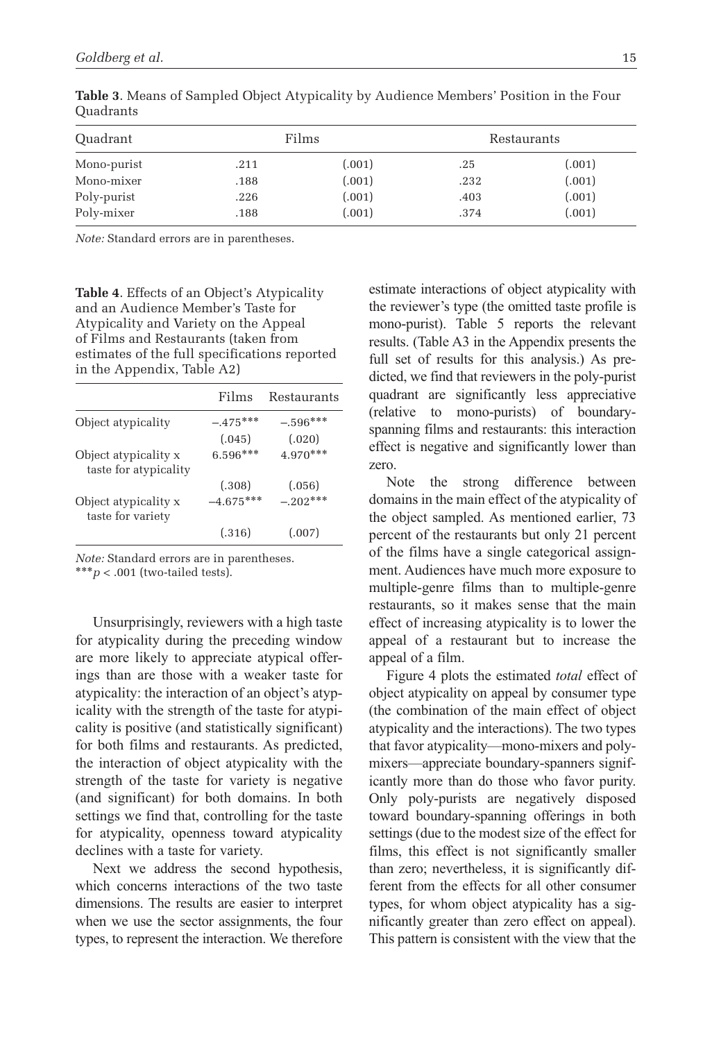| <b>Ouadrant</b> | Films |        |      |        |  | Restaurants |
|-----------------|-------|--------|------|--------|--|-------------|
| Mono-purist     | .211  | (.001) | .25  | (.001) |  |             |
| Mono-mixer      | .188  | (.001) | .232 | (.001) |  |             |
| Poly-purist     | .226  | (.001) | .403 | (.001) |  |             |
| Poly-mixer      | .188  | (.001) | .374 | (.001) |  |             |

**Table 3**. Means of Sampled Object Atypicality by Audience Members' Position in the Four Quadrants

*Note:* Standard errors are in parentheses.

**Table 4**. Effects of an Object's Atypicality and an Audience Member's Taste for Atypicality and Variety on the Appeal of Films and Restaurants (taken from estimates of the full specifications reported in the Appendix, Table A2)

|                                               | Films                | Restaurants          |
|-----------------------------------------------|----------------------|----------------------|
| Object atypicality                            | $-.475***$<br>(.045) | $-.596***$<br>(.020) |
| Object atypicality x<br>taste for atypicality | $6.596***$           | 4.970***             |
|                                               | (.308)               | (.056)               |
| Object atypicality x<br>taste for variety     | $-4.675***$          | $-.202***$           |
|                                               | (.316)               | (.007)               |

*Note:* Standard errors are in parentheses.

\*\*\**p* < .001 (two-tailed tests).

Unsurprisingly, reviewers with a high taste for atypicality during the preceding window are more likely to appreciate atypical offerings than are those with a weaker taste for atypicality: the interaction of an object's atypicality with the strength of the taste for atypicality is positive (and statistically significant) for both films and restaurants. As predicted, the interaction of object atypicality with the strength of the taste for variety is negative (and significant) for both domains. In both settings we find that, controlling for the taste for atypicality, openness toward atypicality declines with a taste for variety.

Next we address the second hypothesis, which concerns interactions of the two taste dimensions. The results are easier to interpret when we use the sector assignments, the four types, to represent the interaction. We therefore estimate interactions of object atypicality with the reviewer's type (the omitted taste profile is mono-purist). Table 5 reports the relevant results. (Table A3 in the Appendix presents the full set of results for this analysis.) As predicted, we find that reviewers in the poly-purist quadrant are significantly less appreciative (relative to mono-purists) of boundaryspanning films and restaurants: this interaction effect is negative and significantly lower than zero.

Note the strong difference between domains in the main effect of the atypicality of the object sampled. As mentioned earlier, 73 percent of the restaurants but only 21 percent of the films have a single categorical assignment. Audiences have much more exposure to multiple-genre films than to multiple-genre restaurants, so it makes sense that the main effect of increasing atypicality is to lower the appeal of a restaurant but to increase the appeal of a film.

Figure 4 plots the estimated *total* effect of object atypicality on appeal by consumer type (the combination of the main effect of object atypicality and the interactions). The two types that favor atypicality—mono-mixers and polymixers—appreciate boundary-spanners significantly more than do those who favor purity. Only poly-purists are negatively disposed toward boundary-spanning offerings in both settings (due to the modest size of the effect for films, this effect is not significantly smaller than zero; nevertheless, it is significantly different from the effects for all other consumer types, for whom object atypicality has a significantly greater than zero effect on appeal). This pattern is consistent with the view that the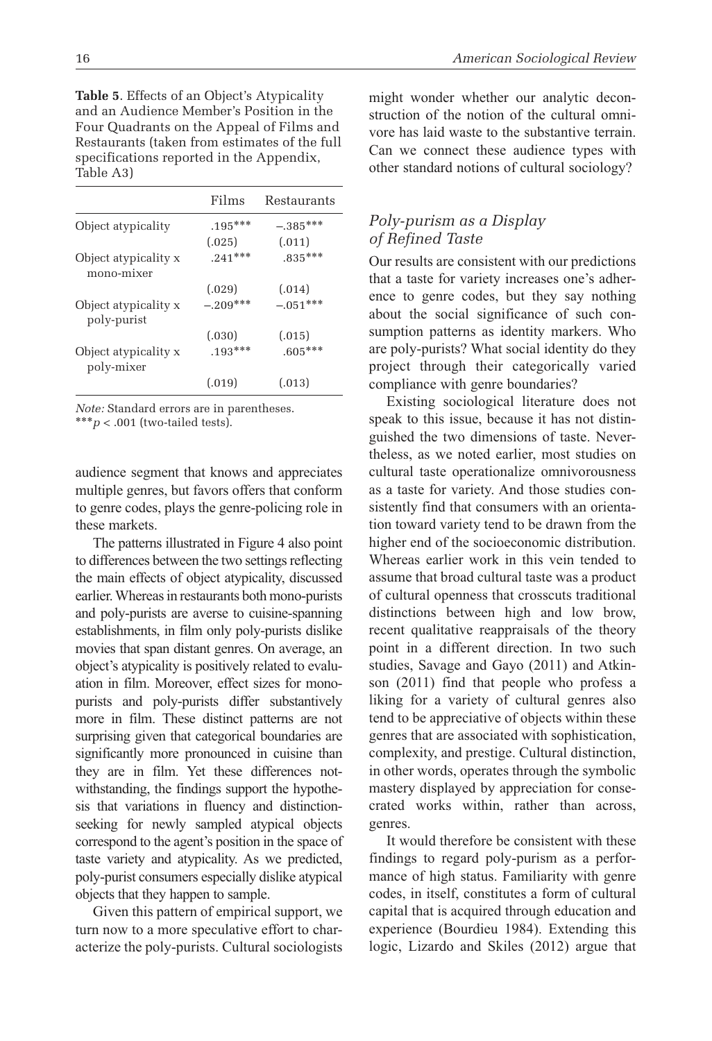**Table 5**. Effects of an Object's Atypicality and an Audience Member's Position in the Four Quadrants on the Appeal of Films and Restaurants (taken from estimates of the full specifications reported in the Appendix, Table A3)

|                                     | Films      | Restaurants |
|-------------------------------------|------------|-------------|
| Object atypicality                  | $.195***$  | $-.385***$  |
|                                     | (.025)     | (.011)      |
| Object atypicality x<br>mono-mixer  | $.241***$  | $.835***$   |
|                                     | (.029)     | (.014)      |
| Object atypicality x<br>poly-purist | $-.209***$ | $-.051***$  |
|                                     | (.030)     | (.015)      |
| Object atypicality x<br>poly-mixer  | $.193***$  | $.605***$   |
|                                     | (.019)     | (.013)      |

*Note:* Standard errors are in parentheses.

\*\*\**p* < .001 (two-tailed tests).

audience segment that knows and appreciates multiple genres, but favors offers that conform to genre codes, plays the genre-policing role in these markets.

The patterns illustrated in Figure 4 also point to differences between the two settings reflecting the main effects of object atypicality, discussed earlier. Whereas in restaurants both mono-purists and poly-purists are averse to cuisine-spanning establishments, in film only poly-purists dislike movies that span distant genres. On average, an object's atypicality is positively related to evaluation in film. Moreover, effect sizes for monopurists and poly-purists differ substantively more in film. These distinct patterns are not surprising given that categorical boundaries are significantly more pronounced in cuisine than they are in film. Yet these differences notwithstanding, the findings support the hypothesis that variations in fluency and distinctionseeking for newly sampled atypical objects correspond to the agent's position in the space of taste variety and atypicality. As we predicted, poly-purist consumers especially dislike atypical objects that they happen to sample.

Given this pattern of empirical support, we turn now to a more speculative effort to characterize the poly-purists. Cultural sociologists might wonder whether our analytic deconstruction of the notion of the cultural omnivore has laid waste to the substantive terrain. Can we connect these audience types with other standard notions of cultural sociology?

### *Poly-purism as a Display of Refined Taste*

Our results are consistent with our predictions that a taste for variety increases one's adherence to genre codes, but they say nothing about the social significance of such consumption patterns as identity markers. Who are poly-purists? What social identity do they project through their categorically varied compliance with genre boundaries?

Existing sociological literature does not speak to this issue, because it has not distinguished the two dimensions of taste. Nevertheless, as we noted earlier, most studies on cultural taste operationalize omnivorousness as a taste for variety. And those studies consistently find that consumers with an orientation toward variety tend to be drawn from the higher end of the socioeconomic distribution. Whereas earlier work in this vein tended to assume that broad cultural taste was a product of cultural openness that crosscuts traditional distinctions between high and low brow, recent qualitative reappraisals of the theory point in a different direction. In two such studies, Savage and Gayo (2011) and Atkinson (2011) find that people who profess a liking for a variety of cultural genres also tend to be appreciative of objects within these genres that are associated with sophistication, complexity, and prestige. Cultural distinction, in other words, operates through the symbolic mastery displayed by appreciation for consecrated works within, rather than across, genres.

It would therefore be consistent with these findings to regard poly-purism as a performance of high status. Familiarity with genre codes, in itself, constitutes a form of cultural capital that is acquired through education and experience (Bourdieu 1984). Extending this logic, Lizardo and Skiles (2012) argue that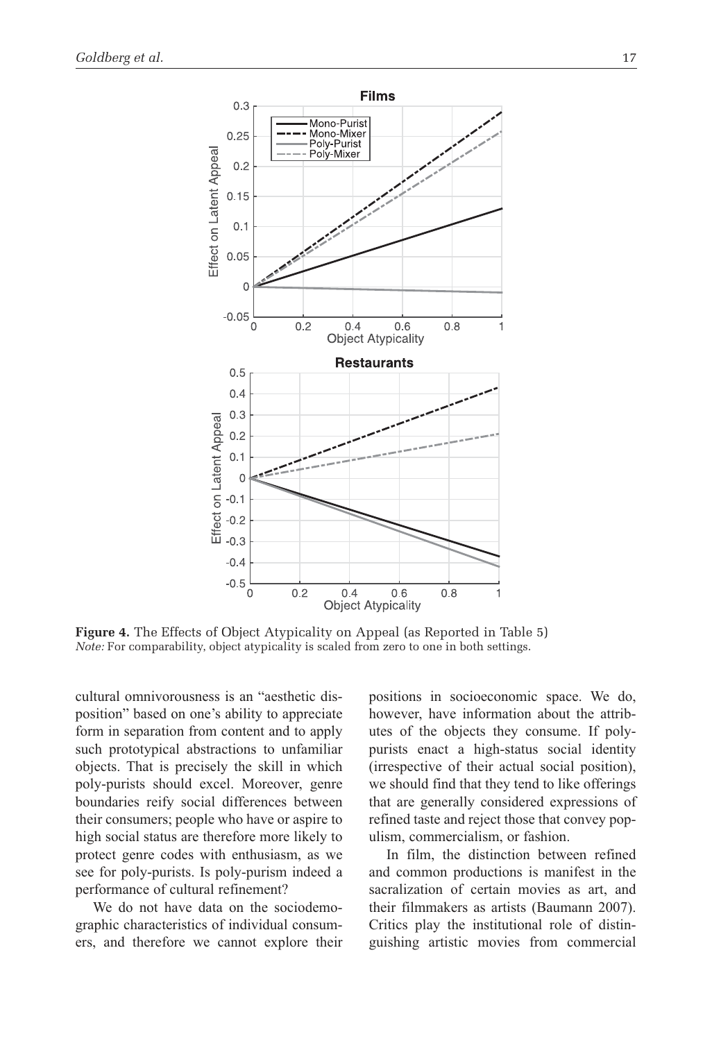

**Figure 4.** The Effects of Object Atypicality on Appeal (as Reported in Table 5) *Note:* For comparability, object atypicality is scaled from zero to one in both settings.

cultural omnivorousness is an "aesthetic disposition" based on one's ability to appreciate form in separation from content and to apply such prototypical abstractions to unfamiliar objects. That is precisely the skill in which poly-purists should excel. Moreover, genre boundaries reify social differences between their consumers; people who have or aspire to high social status are therefore more likely to protect genre codes with enthusiasm, as we see for poly-purists. Is poly-purism indeed a performance of cultural refinement?

We do not have data on the sociodemographic characteristics of individual consumers, and therefore we cannot explore their positions in socioeconomic space. We do, however, have information about the attributes of the objects they consume. If polypurists enact a high-status social identity (irrespective of their actual social position), we should find that they tend to like offerings that are generally considered expressions of refined taste and reject those that convey populism, commercialism, or fashion.

In film, the distinction between refined and common productions is manifest in the sacralization of certain movies as art, and their filmmakers as artists (Baumann 2007). Critics play the institutional role of distinguishing artistic movies from commercial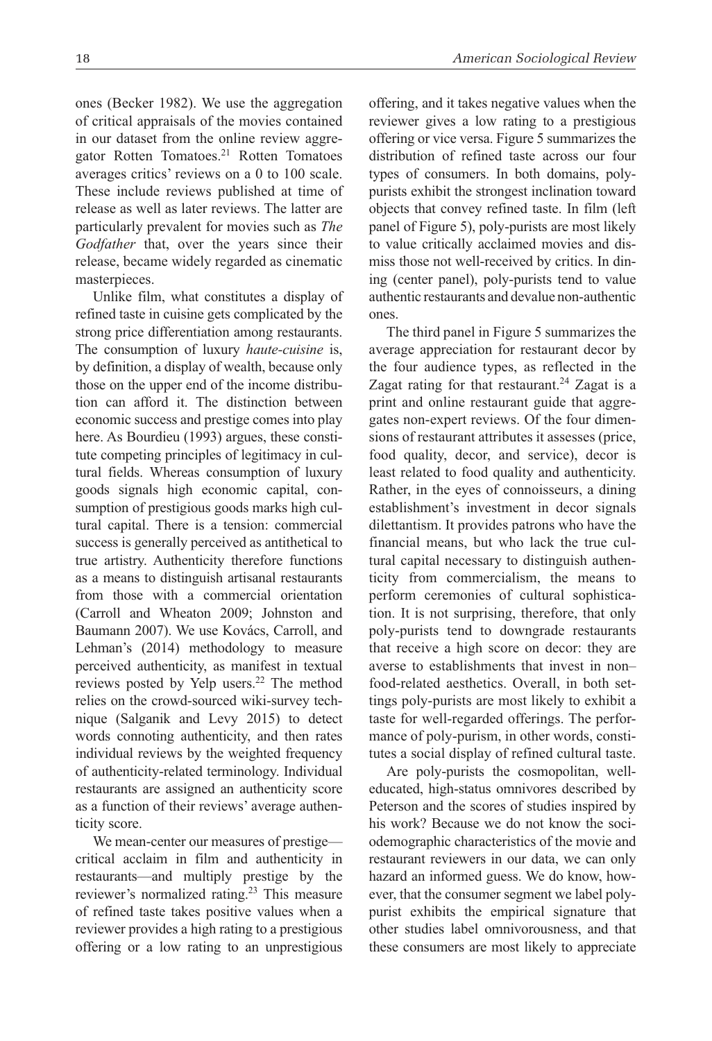ones (Becker 1982). We use the aggregation of critical appraisals of the movies contained in our dataset from the online review aggregator Rotten Tomatoes.<sup>21</sup> Rotten Tomatoes averages critics' reviews on a 0 to 100 scale. These include reviews published at time of release as well as later reviews. The latter are particularly prevalent for movies such as *The Godfather* that, over the years since their release, became widely regarded as cinematic masterpieces.

Unlike film, what constitutes a display of refined taste in cuisine gets complicated by the strong price differentiation among restaurants. The consumption of luxury *haute-cuisine* is, by definition, a display of wealth, because only those on the upper end of the income distribution can afford it. The distinction between economic success and prestige comes into play here. As Bourdieu (1993) argues, these constitute competing principles of legitimacy in cultural fields. Whereas consumption of luxury goods signals high economic capital, consumption of prestigious goods marks high cultural capital. There is a tension: commercial success is generally perceived as antithetical to true artistry. Authenticity therefore functions as a means to distinguish artisanal restaurants from those with a commercial orientation (Carroll and Wheaton 2009; Johnston and Baumann 2007). We use Kovács, Carroll, and Lehman's (2014) methodology to measure perceived authenticity, as manifest in textual reviews posted by Yelp users.<sup>22</sup> The method relies on the crowd-sourced wiki-survey technique (Salganik and Levy 2015) to detect words connoting authenticity, and then rates individual reviews by the weighted frequency of authenticity-related terminology. Individual restaurants are assigned an authenticity score as a function of their reviews' average authenticity score.

We mean-center our measures of prestige critical acclaim in film and authenticity in restaurants—and multiply prestige by the reviewer's normalized rating.<sup>23</sup> This measure of refined taste takes positive values when a reviewer provides a high rating to a prestigious offering or a low rating to an unprestigious offering, and it takes negative values when the reviewer gives a low rating to a prestigious offering or vice versa. Figure 5 summarizes the distribution of refined taste across our four types of consumers. In both domains, polypurists exhibit the strongest inclination toward objects that convey refined taste. In film (left panel of Figure 5), poly-purists are most likely to value critically acclaimed movies and dismiss those not well-received by critics. In dining (center panel), poly-purists tend to value authentic restaurants and devalue non-authentic ones.

The third panel in Figure 5 summarizes the average appreciation for restaurant decor by the four audience types, as reflected in the Zagat rating for that restaurant.<sup>24</sup> Zagat is a print and online restaurant guide that aggregates non-expert reviews. Of the four dimensions of restaurant attributes it assesses (price, food quality, decor, and service), decor is least related to food quality and authenticity. Rather, in the eyes of connoisseurs, a dining establishment's investment in decor signals dilettantism. It provides patrons who have the financial means, but who lack the true cultural capital necessary to distinguish authenticity from commercialism, the means to perform ceremonies of cultural sophistication. It is not surprising, therefore, that only poly-purists tend to downgrade restaurants that receive a high score on decor: they are averse to establishments that invest in non– food-related aesthetics. Overall, in both settings poly-purists are most likely to exhibit a taste for well-regarded offerings. The performance of poly-purism, in other words, constitutes a social display of refined cultural taste.

Are poly-purists the cosmopolitan, welleducated, high-status omnivores described by Peterson and the scores of studies inspired by his work? Because we do not know the sociodemographic characteristics of the movie and restaurant reviewers in our data, we can only hazard an informed guess. We do know, however, that the consumer segment we label polypurist exhibits the empirical signature that other studies label omnivorousness, and that these consumers are most likely to appreciate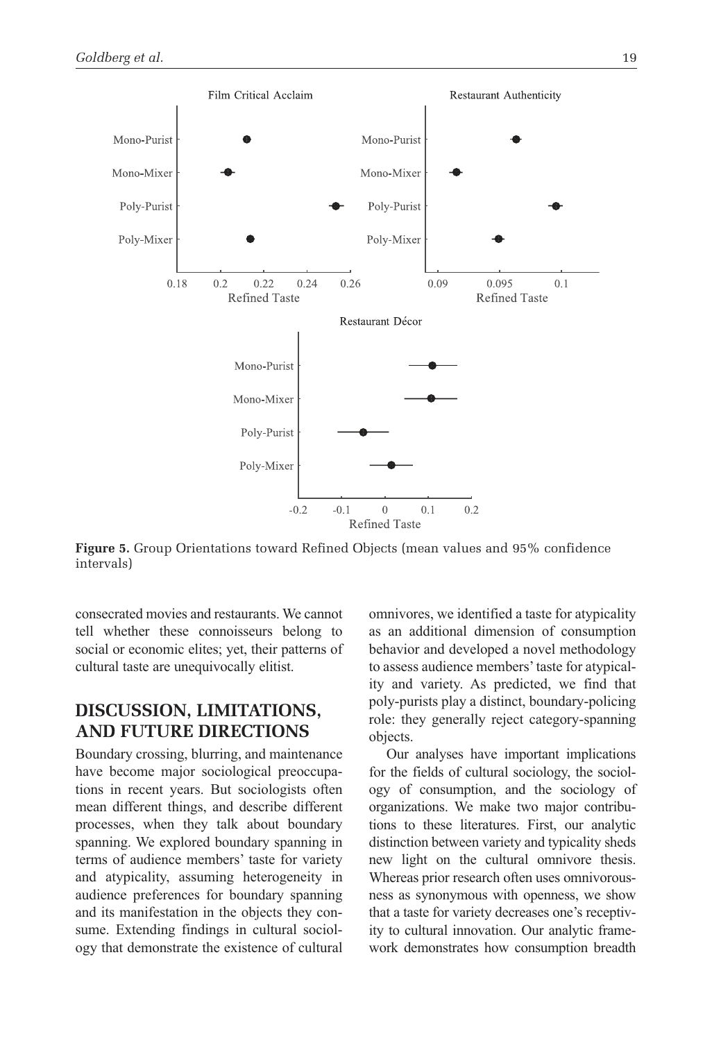

**Figure 5.** Group Orientations toward Refined Objects (mean values and 95% confidence intervals)

consecrated movies and restaurants. We cannot tell whether these connoisseurs belong to social or economic elites; yet, their patterns of cultural taste are unequivocally elitist.

### **DISCUSSION, LIMITATIONS, AND FUTURE DIRECTIONS**

Boundary crossing, blurring, and maintenance have become major sociological preoccupations in recent years. But sociologists often mean different things, and describe different processes, when they talk about boundary spanning. We explored boundary spanning in terms of audience members' taste for variety and atypicality, assuming heterogeneity in audience preferences for boundary spanning and its manifestation in the objects they consume. Extending findings in cultural sociology that demonstrate the existence of cultural omnivores, we identified a taste for atypicality as an additional dimension of consumption behavior and developed a novel methodology to assess audience members' taste for atypicality and variety. As predicted, we find that poly-purists play a distinct, boundary-policing role: they generally reject category-spanning objects.

Our analyses have important implications for the fields of cultural sociology, the sociology of consumption, and the sociology of organizations. We make two major contributions to these literatures. First, our analytic distinction between variety and typicality sheds new light on the cultural omnivore thesis. Whereas prior research often uses omnivorousness as synonymous with openness, we show that a taste for variety decreases one's receptivity to cultural innovation. Our analytic framework demonstrates how consumption breadth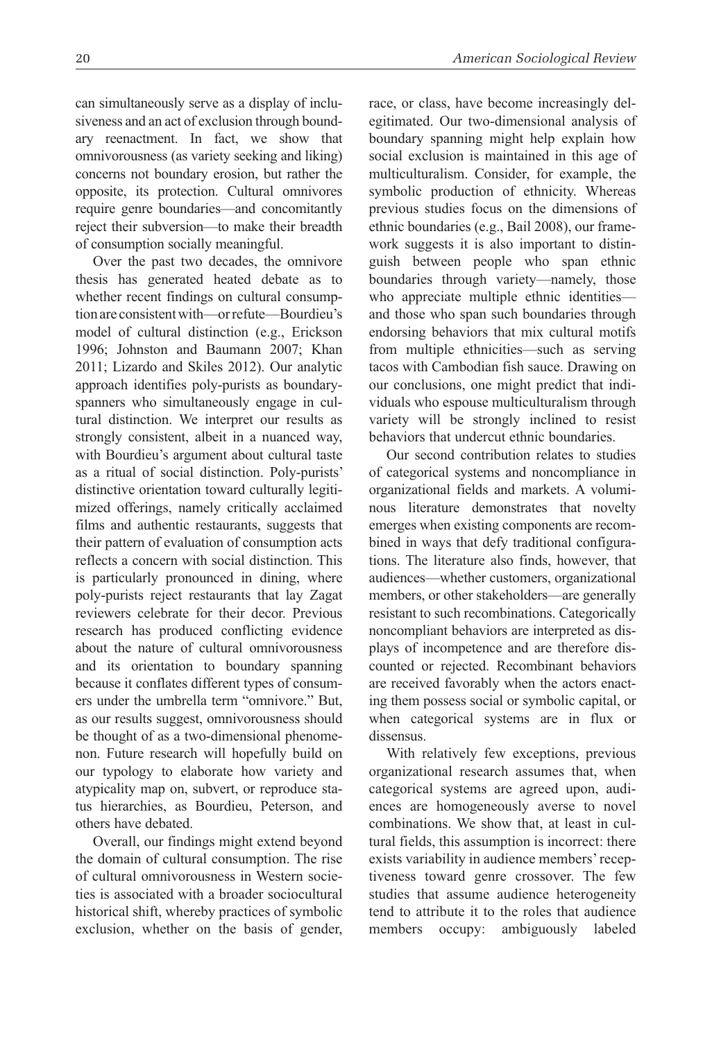can simultaneously serve as a display of inclusiveness and an act of exclusion through boundary reenactment. In fact, we show that omnivorousness (as variety seeking and liking) concerns not boundary erosion, but rather the opposite, its protection. Cultural omnivores require genre boundaries—and concomitantly reject their subversion—to make their breadth of consumption socially meaningful.

Over the past two decades, the omnivore thesis has generated heated debate as to whether recent findings on cultural consumption are consistent with—or refute—Bourdieu's model of cultural distinction (e.g., Erickson 1996; Johnston and Baumann 2007; Khan 2011; Lizardo and Skiles 2012). Our analytic approach identifies poly-purists as boundaryspanners who simultaneously engage in cultural distinction. We interpret our results as strongly consistent, albeit in a nuanced way, with Bourdieu's argument about cultural taste as a ritual of social distinction. Poly-purists' distinctive orientation toward culturally legitimized offerings, namely critically acclaimed films and authentic restaurants, suggests that their pattern of evaluation of consumption acts reflects a concern with social distinction. This is particularly pronounced in dining, where poly-purists reject restaurants that lay Zagat reviewers celebrate for their decor. Previous research has produced conflicting evidence about the nature of cultural omnivorousness and its orientation to boundary spanning because it conflates different types of consumers under the umbrella term "omnivore." But, as our results suggest, omnivorousness should be thought of as a two-dimensional phenomenon. Future research will hopefully build on our typology to elaborate how variety and atypicality map on, subvert, or reproduce status hierarchies, as Bourdieu, Peterson, and others have debated.

Overall, our findings might extend beyond the domain of cultural consumption. The rise of cultural omnivorousness in Western societies is associated with a broader sociocultural historical shift, whereby practices of symbolic exclusion, whether on the basis of gender, race, or class, have become increasingly delegitimated. Our two-dimensional analysis of boundary spanning might help explain how social exclusion is maintained in this age of multiculturalism. Consider, for example, the symbolic production of ethnicity. Whereas previous studies focus on the dimensions of ethnic boundaries (e.g., Bail 2008), our framework suggests it is also important to distinguish between people who span ethnic boundaries through variety—namely, those who appreciate multiple ethnic identities and those who span such boundaries through endorsing behaviors that mix cultural motifs from multiple ethnicities—such as serving tacos with Cambodian fish sauce. Drawing on our conclusions, one might predict that individuals who espouse multiculturalism through variety will be strongly inclined to resist behaviors that undercut ethnic boundaries.

Our second contribution relates to studies of categorical systems and noncompliance in organizational fields and markets. A voluminous literature demonstrates that novelty emerges when existing components are recombined in ways that defy traditional configurations. The literature also finds, however, that audiences—whether customers, organizational members, or other stakeholders—are generally resistant to such recombinations. Categorically noncompliant behaviors are interpreted as displays of incompetence and are therefore discounted or rejected. Recombinant behaviors are received favorably when the actors enacting them possess social or symbolic capital, or when categorical systems are in flux or dissensus.

With relatively few exceptions, previous organizational research assumes that, when categorical systems are agreed upon, audiences are homogeneously averse to novel combinations. We show that, at least in cultural fields, this assumption is incorrect: there exists variability in audience members' receptiveness toward genre crossover. The few studies that assume audience heterogeneity tend to attribute it to the roles that audience members occupy: ambiguously labeled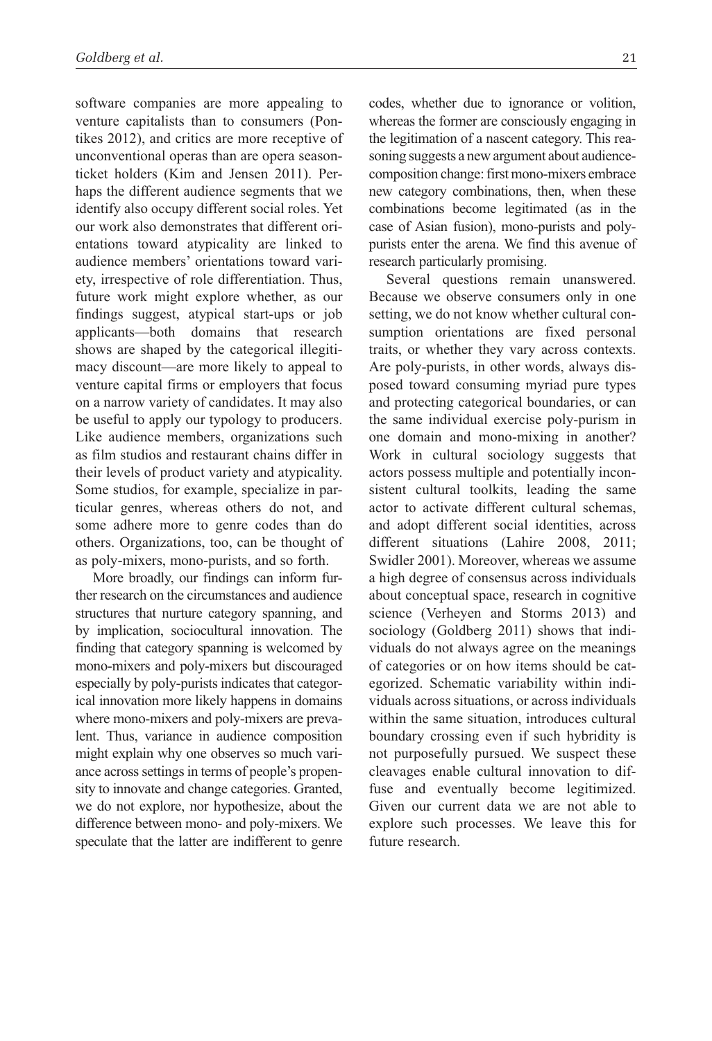software companies are more appealing to venture capitalists than to consumers (Pontikes 2012), and critics are more receptive of unconventional operas than are opera seasonticket holders (Kim and Jensen 2011). Perhaps the different audience segments that we identify also occupy different social roles. Yet our work also demonstrates that different orientations toward atypicality are linked to audience members' orientations toward variety, irrespective of role differentiation. Thus, future work might explore whether, as our findings suggest, atypical start-ups or job applicants—both domains that research shows are shaped by the categorical illegitimacy discount—are more likely to appeal to venture capital firms or employers that focus on a narrow variety of candidates. It may also be useful to apply our typology to producers. Like audience members, organizations such as film studios and restaurant chains differ in their levels of product variety and atypicality. Some studios, for example, specialize in particular genres, whereas others do not, and some adhere more to genre codes than do others. Organizations, too, can be thought of as poly-mixers, mono-purists, and so forth.

More broadly, our findings can inform further research on the circumstances and audience structures that nurture category spanning, and by implication, sociocultural innovation. The finding that category spanning is welcomed by mono-mixers and poly-mixers but discouraged especially by poly-purists indicates that categorical innovation more likely happens in domains where mono-mixers and poly-mixers are prevalent. Thus, variance in audience composition might explain why one observes so much variance across settings in terms of people's propensity to innovate and change categories. Granted, we do not explore, nor hypothesize, about the difference between mono- and poly-mixers. We speculate that the latter are indifferent to genre codes, whether due to ignorance or volition, whereas the former are consciously engaging in the legitimation of a nascent category. This reasoning suggests a new argument about audiencecomposition change: first mono-mixers embrace new category combinations, then, when these combinations become legitimated (as in the case of Asian fusion), mono-purists and polypurists enter the arena. We find this avenue of research particularly promising.

Several questions remain unanswered. Because we observe consumers only in one setting, we do not know whether cultural consumption orientations are fixed personal traits, or whether they vary across contexts. Are poly-purists, in other words, always disposed toward consuming myriad pure types and protecting categorical boundaries, or can the same individual exercise poly-purism in one domain and mono-mixing in another? Work in cultural sociology suggests that actors possess multiple and potentially inconsistent cultural toolkits, leading the same actor to activate different cultural schemas, and adopt different social identities, across different situations (Lahire 2008, 2011; Swidler 2001). Moreover, whereas we assume a high degree of consensus across individuals about conceptual space, research in cognitive science (Verheyen and Storms 2013) and sociology (Goldberg 2011) shows that individuals do not always agree on the meanings of categories or on how items should be categorized. Schematic variability within individuals across situations, or across individuals within the same situation, introduces cultural boundary crossing even if such hybridity is not purposefully pursued. We suspect these cleavages enable cultural innovation to diffuse and eventually become legitimized. Given our current data we are not able to explore such processes. We leave this for future research.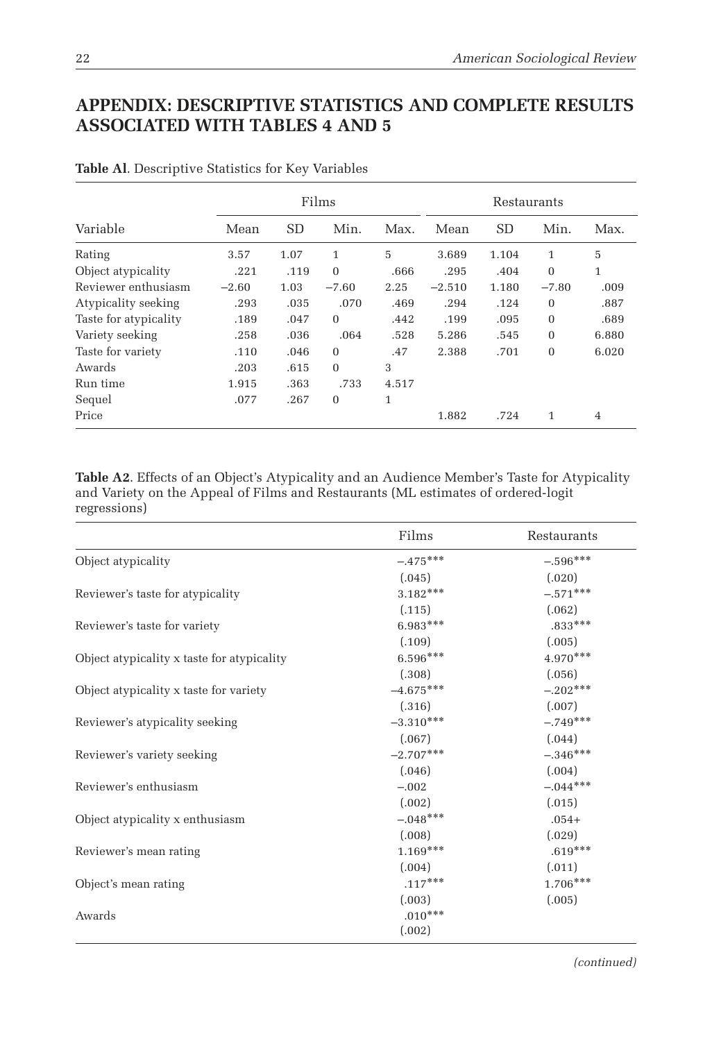# **APPENDIX: DESCRIPTIVE STATISTICS AND COMPLETE RESULTS ASSOCIATED WITH TABLES 4 AND 5**

|                       |         |           | Films        |       |          | Restaurants |              |                |
|-----------------------|---------|-----------|--------------|-------|----------|-------------|--------------|----------------|
| Variable              | Mean    | <b>SD</b> | Min.         | Max.  | Mean     | <b>SD</b>   | Min.         | Max.           |
| Rating                | 3.57    | 1.07      | 1            | 5     | 3.689    | 1.104       | 1            | 5              |
| Object atypicality    | .221    | .119      | $\mathbf{0}$ | .666  | .295     | .404        | $\Omega$     | 1              |
| Reviewer enthusiasm   | $-2.60$ | 1.03      | $-7.60$      | 2.25  | $-2.510$ | 1.180       | $-7.80$      | .009           |
| Atypicality seeking   | .293    | .035      | .070         | .469  | .294     | .124        | $\mathbf{0}$ | .887           |
| Taste for atypicality | .189    | .047      | $\Omega$     | .442  | .199     | .095        | $\mathbf{0}$ | .689           |
| Variety seeking       | .258    | .036      | .064         | .528  | 5.286    | .545        | $\mathbf{0}$ | 6.880          |
| Taste for variety     | .110    | .046      | $\Omega$     | .47   | 2.388    | .701        | $\mathbf{0}$ | 6.020          |
| Awards                | .203    | .615      | $\Omega$     | 3     |          |             |              |                |
| Run time              | 1.915   | .363      | .733         | 4.517 |          |             |              |                |
| Sequel                | .077    | .267      | $\mathbf{0}$ | 1     |          |             |              |                |
| Price                 |         |           |              |       | 1.882    | .724        | 1            | $\overline{4}$ |

#### **Table Al**. Descriptive Statistics for Key Variables

**Table A2**. Effects of an Object's Atypicality and an Audience Member's Taste for Atypicality and Variety on the Appeal of Films and Restaurants (ML estimates of ordered-logit regressions)

|                                            | Films       | Restaurants |
|--------------------------------------------|-------------|-------------|
| Object atypicality                         | $-.475***$  | $-.596***$  |
|                                            | (.045)      | (.020)      |
| Reviewer's taste for atypicality           | $3.182***$  | $-.571***$  |
|                                            | (.115)      | (.062)      |
| Reviewer's taste for variety               | $6.983***$  | $.833***$   |
|                                            | (.109)      | (.005)      |
| Object atypicality x taste for atypicality | $6.596***$  | 4.970***    |
|                                            | (.308)      | (.056)      |
| Object atypicality x taste for variety     | $-4.675***$ | $-.202***$  |
|                                            | (.316)      | (.007)      |
| Reviewer's atypicality seeking             | $-3.310***$ | $-.749***$  |
|                                            | (.067)      | (.044)      |
| Reviewer's variety seeking                 | $-2.707***$ | $-.346***$  |
|                                            | (.046)      | (.004)      |
| Reviewer's enthusiasm                      | $-.002$     | $-.044***$  |
|                                            | (.002)      | (.015)      |
| Object atypicality x enthusiasm            | $-.048***$  | $.054+$     |
|                                            | (.008)      | (.029)      |
| Reviewer's mean rating                     | $1.169***$  | $.619***$   |
|                                            | (.004)      | (.011)      |
| Object's mean rating                       | $.117***$   | $1.706***$  |
|                                            | (.003)      | (.005)      |
| Awards                                     | $.010***$   |             |
|                                            | (.002)      |             |

*(continued)*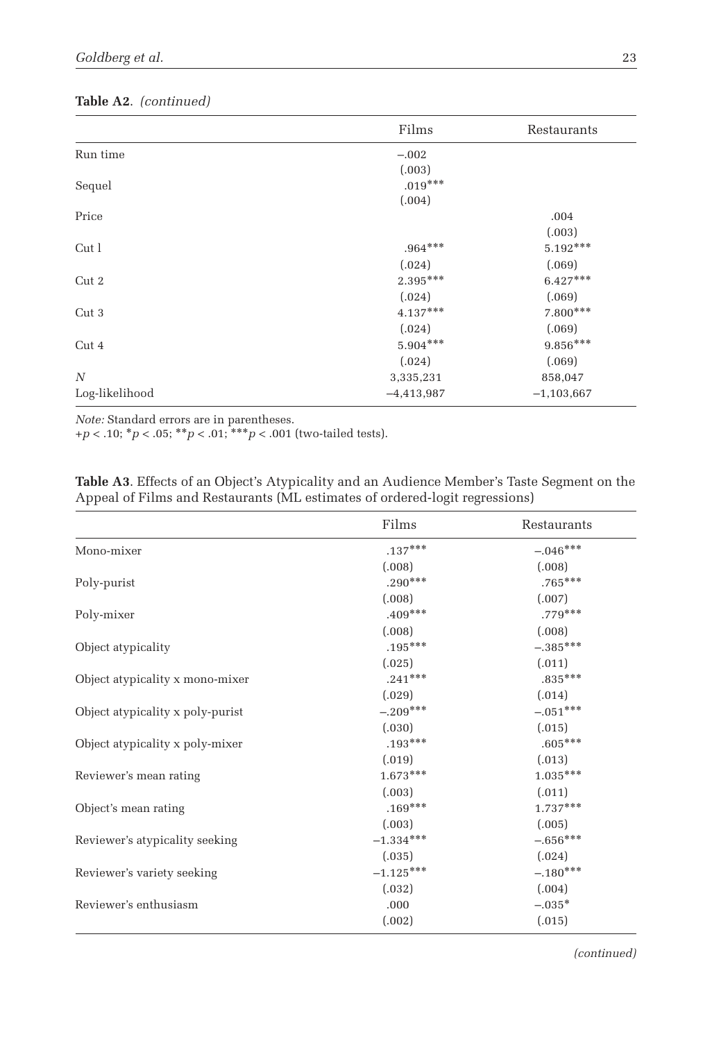#### **Table A2**. *(continued)*

|                  | Films        | Restaurants  |
|------------------|--------------|--------------|
| Run time         | $-.002$      |              |
|                  | (.003)       |              |
| Sequel           | $.019***$    |              |
|                  | (.004)       |              |
| Price            |              | .004         |
|                  |              | (.003)       |
| Cut l            | $.964***$    | $5.192***$   |
|                  | (.024)       | (.069)       |
| Cut 2            | $2.395***$   | $6.427***$   |
|                  | (.024)       | (.069)       |
| Cut 3            | $4.137***$   | 7.800***     |
|                  | (.024)       | (.069)       |
| Cut 4            | $5.904***$   | $9.856***$   |
|                  | (.024)       | (.069)       |
| $\boldsymbol{N}$ | 3,335,231    | 858,047      |
| Log-likelihood   | $-4,413,987$ | $-1,103,667$ |

*Note:* Standard errors are in parentheses. +*p* < .10; \**p* < .05; \*\**p* < .01; \*\*\**p* < .001 (two-tailed tests).

|                                  | Films       | Restaurants |
|----------------------------------|-------------|-------------|
| Mono-mixer                       | $.137***$   | $-.046***$  |
|                                  | (.008)      | (.008)      |
| Poly-purist                      | $.290***$   | $.765***$   |
|                                  | (.008)      | (.007)      |
| Poly-mixer                       | $.409***$   | $.779***$   |
|                                  | (.008)      | (.008)      |
| Object atypicality               | $.195***$   | $-.385***$  |
|                                  | (.025)      | (.011)      |
| Object atypicality x mono-mixer  | $.241***$   | $.835***$   |
|                                  | (.029)      | (.014)      |
| Object atypicality x poly-purist | $-.209***$  | $-.051***$  |
|                                  | (.030)      | (.015)      |
| Object atypicality x poly-mixer  | $.193***$   | $.605***$   |
|                                  | (.019)      | (.013)      |
| Reviewer's mean rating           | $1.673***$  | $1.035***$  |
|                                  | (.003)      | (.011)      |
| Object's mean rating             | $.169***$   | $1.737***$  |
|                                  | (.003)      | (.005)      |
| Reviewer's atypicality seeking   | $-1.334***$ | $-.656***$  |
|                                  | (.035)      | (.024)      |
| Reviewer's variety seeking       | $-1.125***$ | $-.180***$  |
|                                  | (.032)      | (.004)      |
| Reviewer's enthusiasm            | .000        | $-.035*$    |
|                                  | (.002)      | (.015)      |

**Table A3**. Effects of an Object's Atypicality and an Audience Member's Taste Segment on the Appeal of Films and Restaurants (ML estimates of ordered-logit regressions)

*(continued)*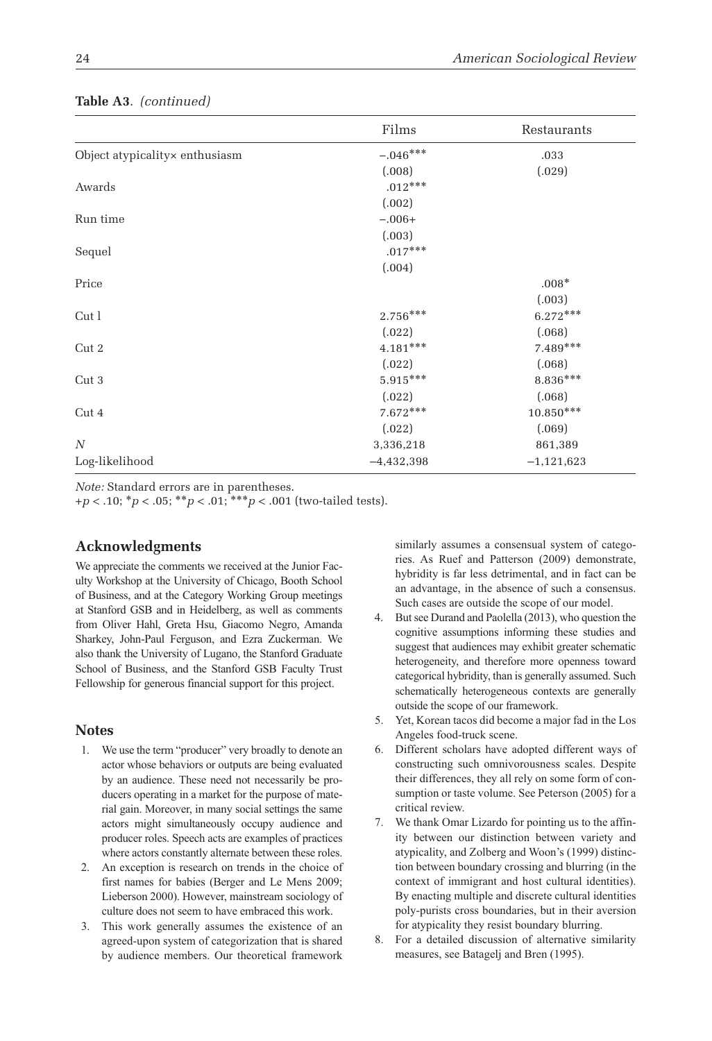|                                | Films        | Restaurants  |
|--------------------------------|--------------|--------------|
| Object atypicalityx enthusiasm | $-.046***$   | .033         |
|                                | (.008)       | (.029)       |
| Awards                         | $.012***$    |              |
|                                | (.002)       |              |
| Run time                       | $-.006+$     |              |
|                                | (.003)       |              |
| Sequel                         | $.017***$    |              |
|                                | (.004)       |              |
| Price                          |              | $.008*$      |
|                                |              | (.003)       |
| Cut l                          | $2.756***$   | $6.272***$   |
|                                | (.022)       | (.068)       |
| Cut 2                          | $4.181***$   | $7.489***$   |
|                                | (.022)       | (.068)       |
| Cut 3                          | $5.915***$   | 8.836***     |
|                                | (.022)       | (.068)       |
| Cut 4                          | $7.672***$   | 10.850***    |
|                                | (.022)       | (.069)       |
| $\boldsymbol{N}$               | 3,336,218    | 861,389      |
| Log-likelihood                 | $-4,432,398$ | $-1,121,623$ |

#### **Table A3**. *(continued)*

*Note:* Standard errors are in parentheses.

+*p* < .10; \**p* < .05; \*\**p* < .01; \*\*\**p* < .001 (two-tailed tests).

### **Acknowledgments**

We appreciate the comments we received at the Junior Faculty Workshop at the University of Chicago, Booth School of Business, and at the Category Working Group meetings at Stanford GSB and in Heidelberg, as well as comments from Oliver Hahl, Greta Hsu, Giacomo Negro, Amanda Sharkey, John-Paul Ferguson, and Ezra Zuckerman. We also thank the University of Lugano, the Stanford Graduate School of Business, and the Stanford GSB Faculty Trust Fellowship for generous financial support for this project.

#### **Notes**

- 1. We use the term "producer" very broadly to denote an actor whose behaviors or outputs are being evaluated by an audience. These need not necessarily be producers operating in a market for the purpose of material gain. Moreover, in many social settings the same actors might simultaneously occupy audience and producer roles. Speech acts are examples of practices where actors constantly alternate between these roles.
- 2. An exception is research on trends in the choice of first names for babies (Berger and Le Mens 2009; Lieberson 2000). However, mainstream sociology of culture does not seem to have embraced this work.
- 3. This work generally assumes the existence of an agreed-upon system of categorization that is shared by audience members. Our theoretical framework

similarly assumes a consensual system of categories. As Ruef and Patterson (2009) demonstrate, hybridity is far less detrimental, and in fact can be an advantage, in the absence of such a consensus. Such cases are outside the scope of our model.

- 4. But see Durand and Paolella (2013), who question the cognitive assumptions informing these studies and suggest that audiences may exhibit greater schematic heterogeneity, and therefore more openness toward categorical hybridity, than is generally assumed. Such schematically heterogeneous contexts are generally outside the scope of our framework.
- 5. Yet, Korean tacos did become a major fad in the Los Angeles food-truck scene.
- 6. Different scholars have adopted different ways of constructing such omnivorousness scales. Despite their differences, they all rely on some form of consumption or taste volume. See Peterson (2005) for a critical review.
- 7. We thank Omar Lizardo for pointing us to the affinity between our distinction between variety and atypicality, and Zolberg and Woon's (1999) distinction between boundary crossing and blurring (in the context of immigrant and host cultural identities). By enacting multiple and discrete cultural identities poly-purists cross boundaries, but in their aversion for atypicality they resist boundary blurring.
- 8. For a detailed discussion of alternative similarity measures, see Batagelj and Bren (1995).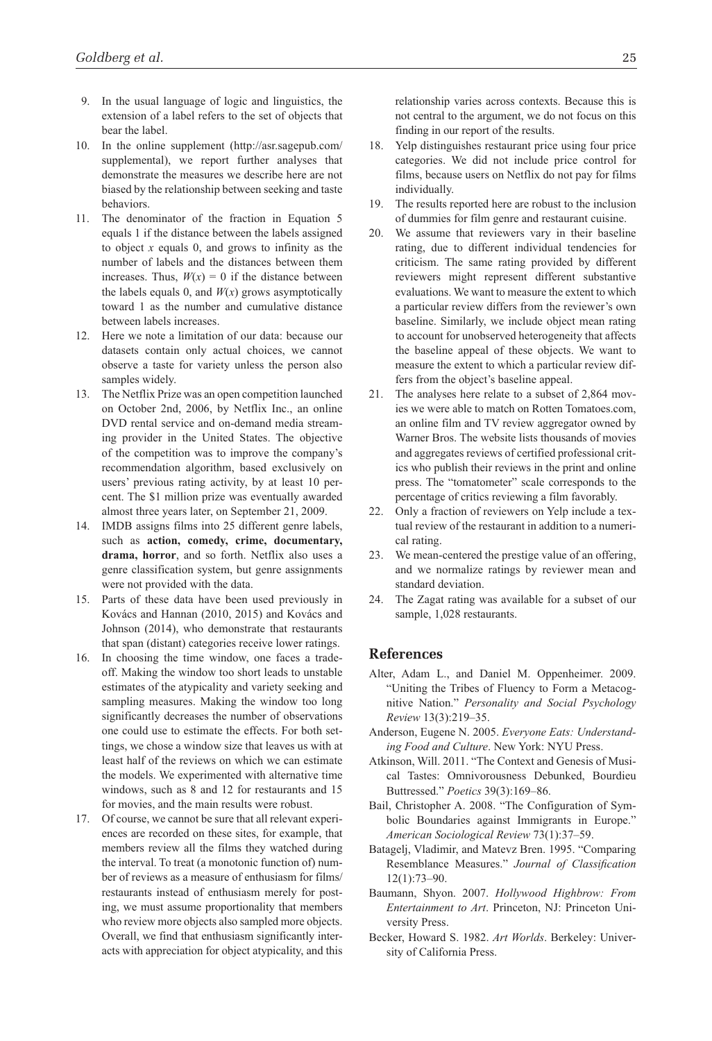- 9. In the usual language of logic and linguistics, the extension of a label refers to the set of objects that bear the label.
- 10. In the online supplement (http://asr.sagepub.com/ supplemental), we report further analyses that demonstrate the measures we describe here are not biased by the relationship between seeking and taste behaviors.
- 11. The denominator of the fraction in Equation 5 equals 1 if the distance between the labels assigned to object *x* equals 0, and grows to infinity as the number of labels and the distances between them increases. Thus,  $W(x) = 0$  if the distance between the labels equals 0, and  $W(x)$  grows asymptotically toward 1 as the number and cumulative distance between labels increases.
- 12. Here we note a limitation of our data: because our datasets contain only actual choices, we cannot observe a taste for variety unless the person also samples widely.
- 13. The Netflix Prize was an open competition launched on October 2nd, 2006, by Netflix Inc., an online DVD rental service and on-demand media streaming provider in the United States. The objective of the competition was to improve the company's recommendation algorithm, based exclusively on users' previous rating activity, by at least 10 percent. The \$1 million prize was eventually awarded almost three years later, on September 21, 2009.
- 14. IMDB assigns films into 25 different genre labels, such as **action, comedy, crime, documentary, drama, horror**, and so forth. Netflix also uses a genre classification system, but genre assignments were not provided with the data.
- 15. Parts of these data have been used previously in Kovács and Hannan (2010, 2015) and Kovács and Johnson (2014), who demonstrate that restaurants that span (distant) categories receive lower ratings.
- 16. In choosing the time window, one faces a tradeoff. Making the window too short leads to unstable estimates of the atypicality and variety seeking and sampling measures. Making the window too long significantly decreases the number of observations one could use to estimate the effects. For both settings, we chose a window size that leaves us with at least half of the reviews on which we can estimate the models. We experimented with alternative time windows, such as 8 and 12 for restaurants and 15 for movies, and the main results were robust.
- 17. Of course, we cannot be sure that all relevant experiences are recorded on these sites, for example, that members review all the films they watched during the interval. To treat (a monotonic function of) number of reviews as a measure of enthusiasm for films/ restaurants instead of enthusiasm merely for posting, we must assume proportionality that members who review more objects also sampled more objects. Overall, we find that enthusiasm significantly interacts with appreciation for object atypicality, and this

relationship varies across contexts. Because this is not central to the argument, we do not focus on this finding in our report of the results.

- 18. Yelp distinguishes restaurant price using four price categories. We did not include price control for films, because users on Netflix do not pay for films individually.
- 19. The results reported here are robust to the inclusion of dummies for film genre and restaurant cuisine.
- 20. We assume that reviewers vary in their baseline rating, due to different individual tendencies for criticism. The same rating provided by different reviewers might represent different substantive evaluations. We want to measure the extent to which a particular review differs from the reviewer's own baseline. Similarly, we include object mean rating to account for unobserved heterogeneity that affects the baseline appeal of these objects. We want to measure the extent to which a particular review differs from the object's baseline appeal.
- 21. The analyses here relate to a subset of 2,864 movies we were able to match on Rotten Tomatoes.com, an online film and TV review aggregator owned by Warner Bros. The website lists thousands of movies and aggregates reviews of certified professional critics who publish their reviews in the print and online press. The "tomatometer" scale corresponds to the percentage of critics reviewing a film favorably.
- 22. Only a fraction of reviewers on Yelp include a textual review of the restaurant in addition to a numerical rating.
- 23. We mean-centered the prestige value of an offering, and we normalize ratings by reviewer mean and standard deviation.
- 24. The Zagat rating was available for a subset of our sample, 1,028 restaurants.

#### **References**

- Alter, Adam L., and Daniel M. Oppenheimer. 2009. "Uniting the Tribes of Fluency to Form a Metacognitive Nation." *Personality and Social Psychology Review* 13(3):219–35.
- Anderson, Eugene N. 2005. *Everyone Eats: Understanding Food and Culture*. New York: NYU Press.
- Atkinson, Will. 2011. "The Context and Genesis of Musical Tastes: Omnivorousness Debunked, Bourdieu Buttressed." *Poetics* 39(3):169–86.
- Bail, Christopher A. 2008. "The Configuration of Symbolic Boundaries against Immigrants in Europe." *American Sociological Review* 73(1):37–59.
- Batagelj, Vladimir, and Matevz Bren. 1995. "Comparing Resemblance Measures." *Journal of Classification* 12(1):73–90.
- Baumann, Shyon. 2007. *Hollywood Highbrow: From Entertainment to Art*. Princeton, NJ: Princeton University Press.
- Becker, Howard S. 1982. *Art Worlds*. Berkeley: University of California Press.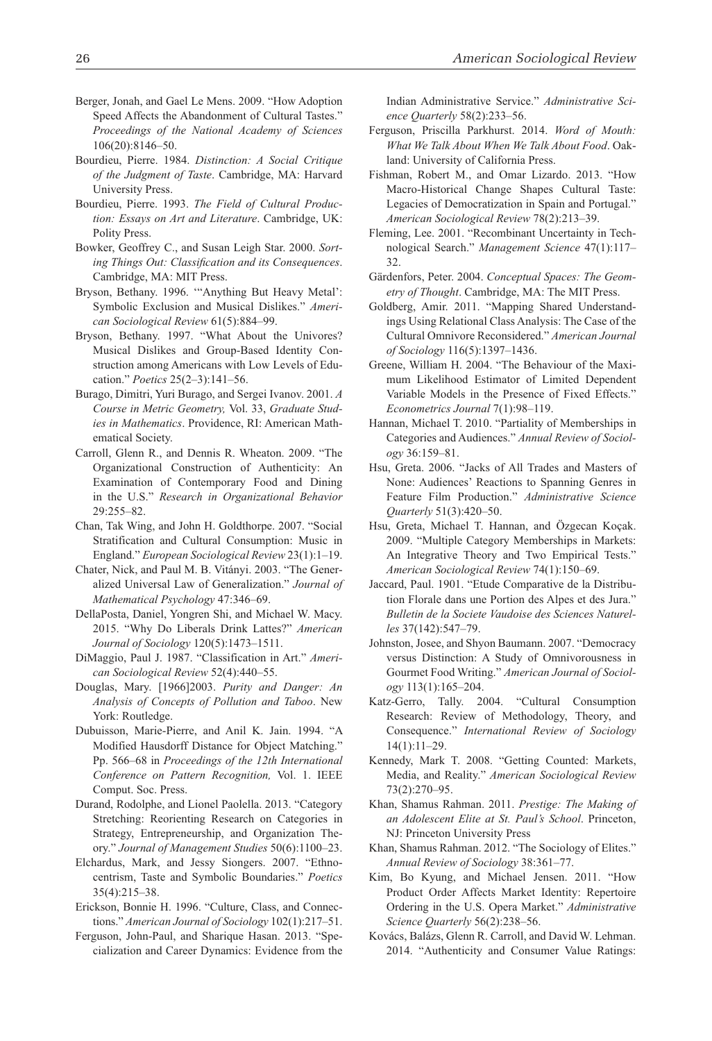- Berger, Jonah, and Gael Le Mens. 2009. "How Adoption Speed Affects the Abandonment of Cultural Tastes." *Proceedings of the National Academy of Sciences* 106(20):8146–50.
- Bourdieu, Pierre. 1984. *Distinction: A Social Critique of the Judgment of Taste*. Cambridge, MA: Harvard University Press.
- Bourdieu, Pierre. 1993. *The Field of Cultural Production: Essays on Art and Literature*. Cambridge, UK: Polity Press.
- Bowker, Geoffrey C., and Susan Leigh Star. 2000. *Sorting Things Out: Classification and its Consequences*. Cambridge, MA: MIT Press.
- Bryson, Bethany. 1996. '"Anything But Heavy Metal': Symbolic Exclusion and Musical Dislikes." *American Sociological Review* 61(5):884–99.
- Bryson, Bethany. 1997. "What About the Univores? Musical Dislikes and Group-Based Identity Construction among Americans with Low Levels of Education." *Poetics* 25(2–3):141–56.
- Burago, Dimitri, Yuri Burago, and Sergei Ivanov. 2001. *A Course in Metric Geometry,* Vol. 33, *Graduate Studies in Mathematics*. Providence, RI: American Mathematical Society.
- Carroll, Glenn R., and Dennis R. Wheaton. 2009. "The Organizational Construction of Authenticity: An Examination of Contemporary Food and Dining in the U.S." *Research in Organizational Behavior* 29:255–82.
- Chan, Tak Wing, and John H. Goldthorpe. 2007. "Social Stratification and Cultural Consumption: Music in England." *European Sociological Review* 23(1):1–19.
- Chater, Nick, and Paul M. B. Vitányi. 2003. "The Generalized Universal Law of Generalization." *Journal of Mathematical Psychology* 47:346–69.
- DellaPosta, Daniel, Yongren Shi, and Michael W. Macy. 2015. "Why Do Liberals Drink Lattes?" *American Journal of Sociology* 120(5):1473–1511.
- DiMaggio, Paul J. 1987. "Classification in Art." *American Sociological Review* 52(4):440–55.
- Douglas, Mary. [1966]2003. *Purity and Danger: An Analysis of Concepts of Pollution and Taboo*. New York: Routledge.
- Dubuisson, Marie-Pierre, and Anil K. Jain. 1994. "A Modified Hausdorff Distance for Object Matching." Pp. 566–68 in *Proceedings of the 12th International Conference on Pattern Recognition,* Vol. 1. IEEE Comput. Soc. Press.
- Durand, Rodolphe, and Lionel Paolella. 2013. "Category Stretching: Reorienting Research on Categories in Strategy, Entrepreneurship, and Organization Theory." *Journal of Management Studies* 50(6):1100–23.
- Elchardus, Mark, and Jessy Siongers. 2007. "Ethnocentrism, Taste and Symbolic Boundaries." *Poetics* 35(4):215–38.
- Erickson, Bonnie H. 1996. "Culture, Class, and Connections." *American Journal of Sociology* 102(1):217–51.
- Ferguson, John-Paul, and Sharique Hasan. 2013. "Specialization and Career Dynamics: Evidence from the

Indian Administrative Service." *Administrative Science Quarterly* 58(2):233–56.

- Ferguson, Priscilla Parkhurst. 2014. *Word of Mouth: What We Talk About When We Talk About Food*. Oakland: University of California Press.
- Fishman, Robert M., and Omar Lizardo. 2013. "How Macro-Historical Change Shapes Cultural Taste: Legacies of Democratization in Spain and Portugal." *American Sociological Review* 78(2):213–39.
- Fleming, Lee. 2001. "Recombinant Uncertainty in Technological Search." *Management Science* 47(1):117– 32.
- Gärdenfors, Peter. 2004. *Conceptual Spaces: The Geometry of Thought*. Cambridge, MA: The MIT Press.
- Goldberg, Amir. 2011. "Mapping Shared Understandings Using Relational Class Analysis: The Case of the Cultural Omnivore Reconsidered." *American Journal of Sociology* 116(5):1397–1436.
- Greene, William H. 2004. "The Behaviour of the Maximum Likelihood Estimator of Limited Dependent Variable Models in the Presence of Fixed Effects." *Econometrics Journal* 7(1):98–119.
- Hannan, Michael T. 2010. "Partiality of Memberships in Categories and Audiences." *Annual Review of Sociology* 36:159–81.
- Hsu, Greta. 2006. "Jacks of All Trades and Masters of None: Audiences' Reactions to Spanning Genres in Feature Film Production." *Administrative Science Quarterly* 51(3):420–50.
- Hsu, Greta, Michael T. Hannan, and Özgecan Koçak. 2009. "Multiple Category Memberships in Markets: An Integrative Theory and Two Empirical Tests." *American Sociological Review* 74(1):150–69.
- Jaccard, Paul. 1901. "Etude Comparative de la Distribution Florale dans une Portion des Alpes et des Jura." *Bulletin de la Societe Vaudoise des Sciences Naturelles* 37(142):547–79.
- Johnston, Josee, and Shyon Baumann. 2007. "Democracy versus Distinction: A Study of Omnivorousness in Gourmet Food Writing." *American Journal of Sociology* 113(1):165–204.
- Katz-Gerro, Tally. 2004. "Cultural Consumption Research: Review of Methodology, Theory, and Consequence." *International Review of Sociology* 14(1):11–29.
- Kennedy, Mark T. 2008. "Getting Counted: Markets, Media, and Reality." *American Sociological Review* 73(2):270–95.
- Khan, Shamus Rahman. 2011. *Prestige: The Making of an Adolescent Elite at St. Paul's School*. Princeton, NJ: Princeton University Press
- Khan, Shamus Rahman. 2012. "The Sociology of Elites." *Annual Review of Sociology* 38:361–77.
- Kim, Bo Kyung, and Michael Jensen. 2011. "How Product Order Affects Market Identity: Repertoire Ordering in the U.S. Opera Market." *Administrative Science Quarterly* 56(2):238–56.
- Kovács, Balázs, Glenn R. Carroll, and David W. Lehman. 2014. "Authenticity and Consumer Value Ratings: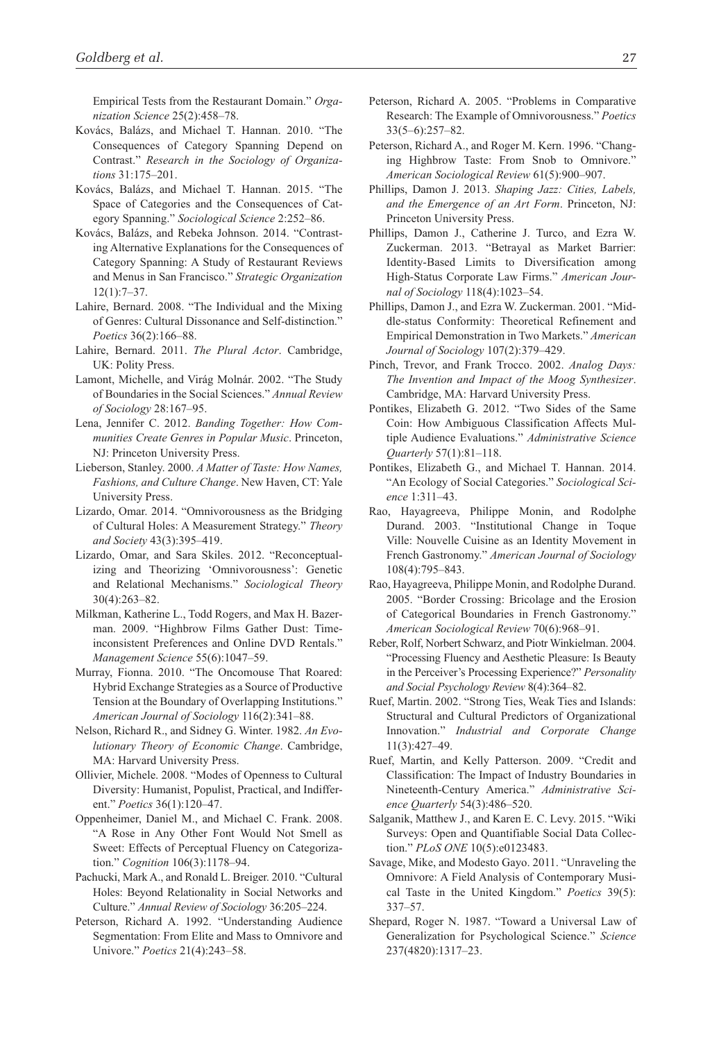Empirical Tests from the Restaurant Domain." *Organization Science* 25(2):458–78.

- Kovács, Balázs, and Michael T. Hannan. 2010. "The Consequences of Category Spanning Depend on Contrast." *Research in the Sociology of Organizations* 31:175–201.
- Kovács, Balázs, and Michael T. Hannan. 2015. "The Space of Categories and the Consequences of Category Spanning." *Sociological Science* 2:252–86.
- Kovács, Balázs, and Rebeka Johnson. 2014. "Contrasting Alternative Explanations for the Consequences of Category Spanning: A Study of Restaurant Reviews and Menus in San Francisco." *Strategic Organization* 12(1):7–37.
- Lahire, Bernard. 2008. "The Individual and the Mixing of Genres: Cultural Dissonance and Self-distinction." *Poetics* 36(2):166–88.
- Lahire, Bernard. 2011. *The Plural Actor*. Cambridge, UK: Polity Press.
- Lamont, Michelle, and Virág Molnár. 2002. "The Study of Boundaries in the Social Sciences." *Annual Review of Sociology* 28:167–95.
- Lena, Jennifer C. 2012. *Banding Together: How Communities Create Genres in Popular Music*. Princeton, NJ: Princeton University Press.
- Lieberson, Stanley. 2000. *A Matter of Taste: How Names, Fashions, and Culture Change*. New Haven, CT: Yale University Press.
- Lizardo, Omar. 2014. "Omnivorousness as the Bridging of Cultural Holes: A Measurement Strategy." *Theory and Society* 43(3):395–419.
- Lizardo, Omar, and Sara Skiles. 2012. "Reconceptualizing and Theorizing 'Omnivorousness': Genetic and Relational Mechanisms." *Sociological Theory* 30(4):263–82.
- Milkman, Katherine L., Todd Rogers, and Max H. Bazerman. 2009. "Highbrow Films Gather Dust: Timeinconsistent Preferences and Online DVD Rentals." *Management Science* 55(6):1047–59.
- Murray, Fionna. 2010. "The Oncomouse That Roared: Hybrid Exchange Strategies as a Source of Productive Tension at the Boundary of Overlapping Institutions." *American Journal of Sociology* 116(2):341–88.
- Nelson, Richard R., and Sidney G. Winter. 1982. *An Evolutionary Theory of Economic Change*. Cambridge, MA: Harvard University Press.
- Ollivier, Michele. 2008. "Modes of Openness to Cultural Diversity: Humanist, Populist, Practical, and Indifferent." *Poetics* 36(1):120–47.
- Oppenheimer, Daniel M., and Michael C. Frank. 2008. "A Rose in Any Other Font Would Not Smell as Sweet: Effects of Perceptual Fluency on Categorization." *Cognition* 106(3):1178–94.
- Pachucki, Mark A., and Ronald L. Breiger. 2010. "Cultural Holes: Beyond Relationality in Social Networks and Culture." *Annual Review of Sociology* 36:205–224.
- Peterson, Richard A. 1992. "Understanding Audience Segmentation: From Elite and Mass to Omnivore and Univore." *Poetics* 21(4):243–58.
- Peterson, Richard A. 2005. "Problems in Comparative Research: The Example of Omnivorousness." *Poetics* 33(5–6):257–82.
- Peterson, Richard A., and Roger M. Kern. 1996. "Changing Highbrow Taste: From Snob to Omnivore." *American Sociological Review* 61(5):900–907.
- Phillips, Damon J. 2013. *Shaping Jazz: Cities, Labels, and the Emergence of an Art Form*. Princeton, NJ: Princeton University Press.
- Phillips, Damon J., Catherine J. Turco, and Ezra W. Zuckerman. 2013. "Betrayal as Market Barrier: Identity-Based Limits to Diversification among High-Status Corporate Law Firms." *American Journal of Sociology* 118(4):1023–54.
- Phillips, Damon J., and Ezra W. Zuckerman. 2001. "Middle-status Conformity: Theoretical Refinement and Empirical Demonstration in Two Markets." *American Journal of Sociology* 107(2):379–429.
- Pinch, Trevor, and Frank Trocco. 2002. *Analog Days: The Invention and Impact of the Moog Synthesizer*. Cambridge, MA: Harvard University Press.
- Pontikes, Elizabeth G. 2012. "Two Sides of the Same Coin: How Ambiguous Classification Affects Multiple Audience Evaluations." *Administrative Science Quarterly* 57(1):81–118.
- Pontikes, Elizabeth G., and Michael T. Hannan. 2014. "An Ecology of Social Categories." *Sociological Science* 1:311–43.
- Rao, Hayagreeva, Philippe Monin, and Rodolphe Durand. 2003. "Institutional Change in Toque Ville: Nouvelle Cuisine as an Identity Movement in French Gastronomy." *American Journal of Sociology* 108(4):795–843.
- Rao, Hayagreeva, Philippe Monin, and Rodolphe Durand. 2005. "Border Crossing: Bricolage and the Erosion of Categorical Boundaries in French Gastronomy." *American Sociological Review* 70(6):968–91.
- Reber, Rolf, Norbert Schwarz, and Piotr Winkielman. 2004. "Processing Fluency and Aesthetic Pleasure: Is Beauty in the Perceiver's Processing Experience?" *Personality and Social Psychology Review* 8(4):364–82.
- Ruef, Martin. 2002. "Strong Ties, Weak Ties and Islands: Structural and Cultural Predictors of Organizational Innovation." *Industrial and Corporate Change* 11(3):427–49.
- Ruef, Martin, and Kelly Patterson. 2009. "Credit and Classification: The Impact of Industry Boundaries in Nineteenth-Century America." *Administrative Science Quarterly* 54(3):486–520.
- Salganik, Matthew J., and Karen E. C. Levy. 2015. "Wiki Surveys: Open and Quantifiable Social Data Collection." *PLoS ONE* 10(5):e0123483.
- Savage, Mike, and Modesto Gayo. 2011. "Unraveling the Omnivore: A Field Analysis of Contemporary Musical Taste in the United Kingdom." *Poetics* 39(5): 337–57.
- Shepard, Roger N. 1987. "Toward a Universal Law of Generalization for Psychological Science." *Science* 237(4820):1317–23.